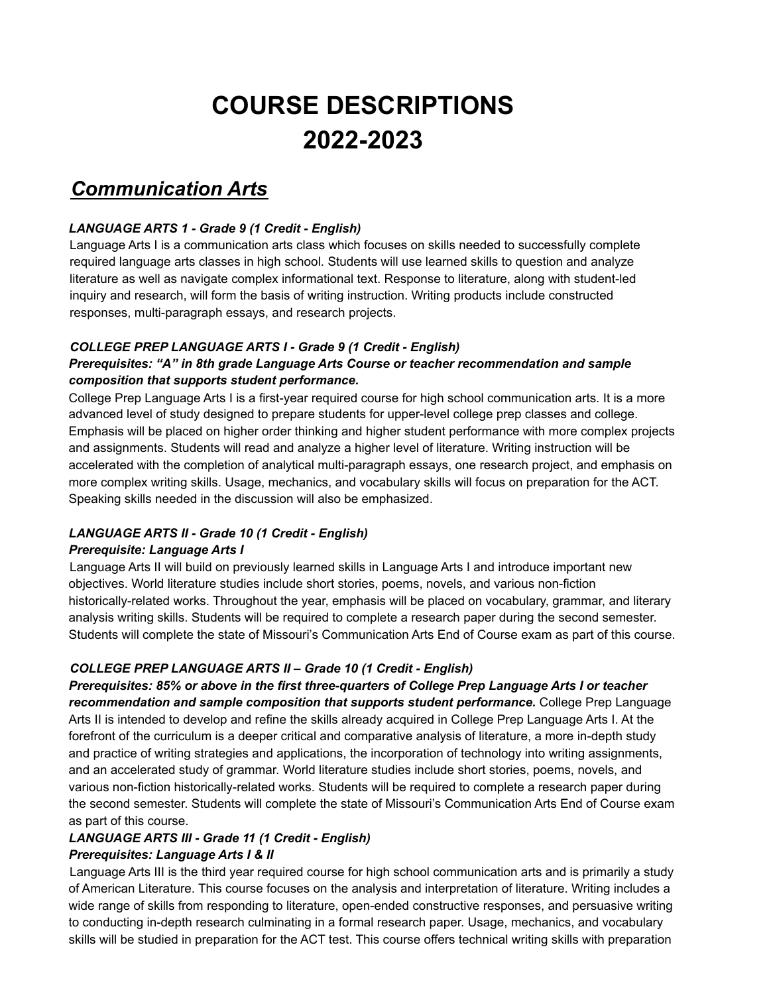# **COURSE DESCRIPTIONS 2022-2023**

# *Communication Arts*

#### *LANGUAGE ARTS 1 - Grade 9 (1 Credit - English)*

Language Arts I is a communication arts class which focuses on skills needed to successfully complete required language arts classes in high school. Students will use learned skills to question and analyze literature as well as navigate complex informational text. Response to literature, along with student-led inquiry and research, will form the basis of writing instruction. Writing products include constructed responses, multi-paragraph essays, and research projects.

## *COLLEGE PREP LANGUAGE ARTS I - Grade 9 (1 Credit - English)*

#### *Prerequisites: "A" in 8th grade Language Arts Course or teacher recommendation and sample composition that supports student performance.*

College Prep Language Arts I is a first-year required course for high school communication arts. It is a more advanced level of study designed to prepare students for upper-level college prep classes and college. Emphasis will be placed on higher order thinking and higher student performance with more complex projects and assignments. Students will read and analyze a higher level of literature. Writing instruction will be accelerated with the completion of analytical multi-paragraph essays, one research project, and emphasis on more complex writing skills. Usage, mechanics, and vocabulary skills will focus on preparation for the ACT. Speaking skills needed in the discussion will also be emphasized.

# *LANGUAGE ARTS II - Grade 10 (1 Credit - English)*

#### *Prerequisite: Language Arts I*

Language Arts II will build on previously learned skills in Language Arts I and introduce important new objectives. World literature studies include short stories, poems, novels, and various non-fiction historically-related works. Throughout the year, emphasis will be placed on vocabulary, grammar, and literary analysis writing skills. Students will be required to complete a research paper during the second semester. Students will complete the state of Missouri's Communication Arts End of Course exam as part of this course.

# *COLLEGE PREP LANGUAGE ARTS II – Grade 10 (1 Credit - English)*

*Prerequisites: 85% or above in the first three-quarters of College Prep Language Arts I or teacher recommendation and sample composition that supports student performance.* College Prep Language Arts II is intended to develop and refine the skills already acquired in College Prep Language Arts I. At the forefront of the curriculum is a deeper critical and comparative analysis of literature, a more in-depth study and practice of writing strategies and applications, the incorporation of technology into writing assignments, and an accelerated study of grammar. World literature studies include short stories, poems, novels, and various non-fiction historically-related works. Students will be required to complete a research paper during the second semester. Students will complete the state of Missouri's Communication Arts End of Course exam as part of this course.

# *LANGUAGE ARTS III - Grade 11 (1 Credit - English)*

#### *Prerequisites: Language Arts I & II*

Language Arts III is the third year required course for high school communication arts and is primarily a study of American Literature. This course focuses on the analysis and interpretation of literature. Writing includes a wide range of skills from responding to literature, open-ended constructive responses, and persuasive writing to conducting in-depth research culminating in a formal research paper. Usage, mechanics, and vocabulary skills will be studied in preparation for the ACT test. This course offers technical writing skills with preparation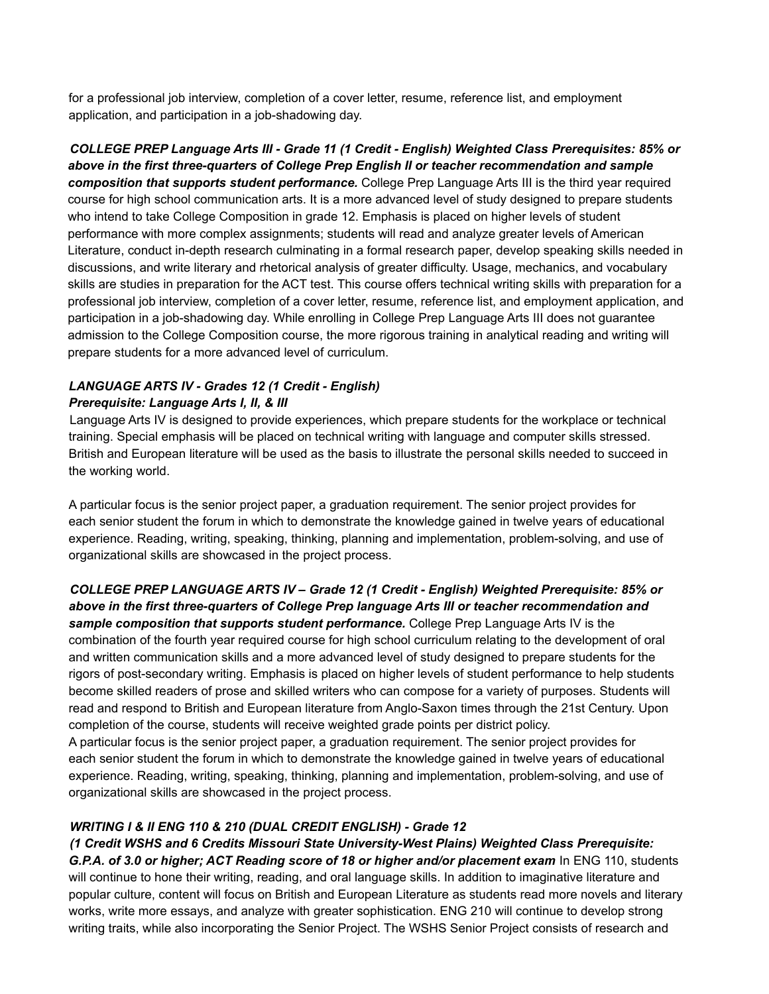for a professional job interview, completion of a cover letter, resume, reference list, and employment application, and participation in a job-shadowing day.

*COLLEGE PREP Language Arts III - Grade 11 (1 Credit - English) Weighted Class Prerequisites: 85% or above in the first three-quarters of College Prep English II or teacher recommendation and sample composition that supports student performance.* College Prep Language Arts III is the third year required course for high school communication arts. It is a more advanced level of study designed to prepare students who intend to take College Composition in grade 12. Emphasis is placed on higher levels of student performance with more complex assignments; students will read and analyze greater levels of American Literature, conduct in-depth research culminating in a formal research paper, develop speaking skills needed in discussions, and write literary and rhetorical analysis of greater difficulty. Usage, mechanics, and vocabulary skills are studies in preparation for the ACT test. This course offers technical writing skills with preparation for a professional job interview, completion of a cover letter, resume, reference list, and employment application, and participation in a job-shadowing day. While enrolling in College Prep Language Arts III does not guarantee admission to the College Composition course, the more rigorous training in analytical reading and writing will prepare students for a more advanced level of curriculum.

#### *LANGUAGE ARTS IV - Grades 12 (1 Credit - English) Prerequisite: Language Arts I, II, & III*

Language Arts IV is designed to provide experiences, which prepare students for the workplace or technical training. Special emphasis will be placed on technical writing with language and computer skills stressed. British and European literature will be used as the basis to illustrate the personal skills needed to succeed in the working world.

A particular focus is the senior project paper, a graduation requirement. The senior project provides for each senior student the forum in which to demonstrate the knowledge gained in twelve years of educational experience. Reading, writing, speaking, thinking, planning and implementation, problem-solving, and use of organizational skills are showcased in the project process.

*COLLEGE PREP LANGUAGE ARTS IV – Grade 12 (1 Credit - English) Weighted Prerequisite: 85% or above in the first three-quarters of College Prep language Arts III or teacher recommendation and sample composition that supports student performance.* College Prep Language Arts IV is the combination of the fourth year required course for high school curriculum relating to the development of oral and written communication skills and a more advanced level of study designed to prepare students for the rigors of post-secondary writing. Emphasis is placed on higher levels of student performance to help students become skilled readers of prose and skilled writers who can compose for a variety of purposes. Students will read and respond to British and European literature from Anglo-Saxon times through the 21st Century. Upon completion of the course, students will receive weighted grade points per district policy.

A particular focus is the senior project paper, a graduation requirement. The senior project provides for each senior student the forum in which to demonstrate the knowledge gained in twelve years of educational experience. Reading, writing, speaking, thinking, planning and implementation, problem-solving, and use of organizational skills are showcased in the project process.

#### *WRITING I & II ENG 110 & 210 (DUAL CREDIT ENGLISH) - Grade 12*

*(1 Credit WSHS and 6 Credits Missouri State University-West Plains) Weighted Class Prerequisite: G.P.A. of 3.0 or higher; ACT Reading score of 18 or higher and/or placement exam* In ENG 110, students will continue to hone their writing, reading, and oral language skills. In addition to imaginative literature and popular culture, content will focus on British and European Literature as students read more novels and literary works, write more essays, and analyze with greater sophistication. ENG 210 will continue to develop strong writing traits, while also incorporating the Senior Project. The WSHS Senior Project consists of research and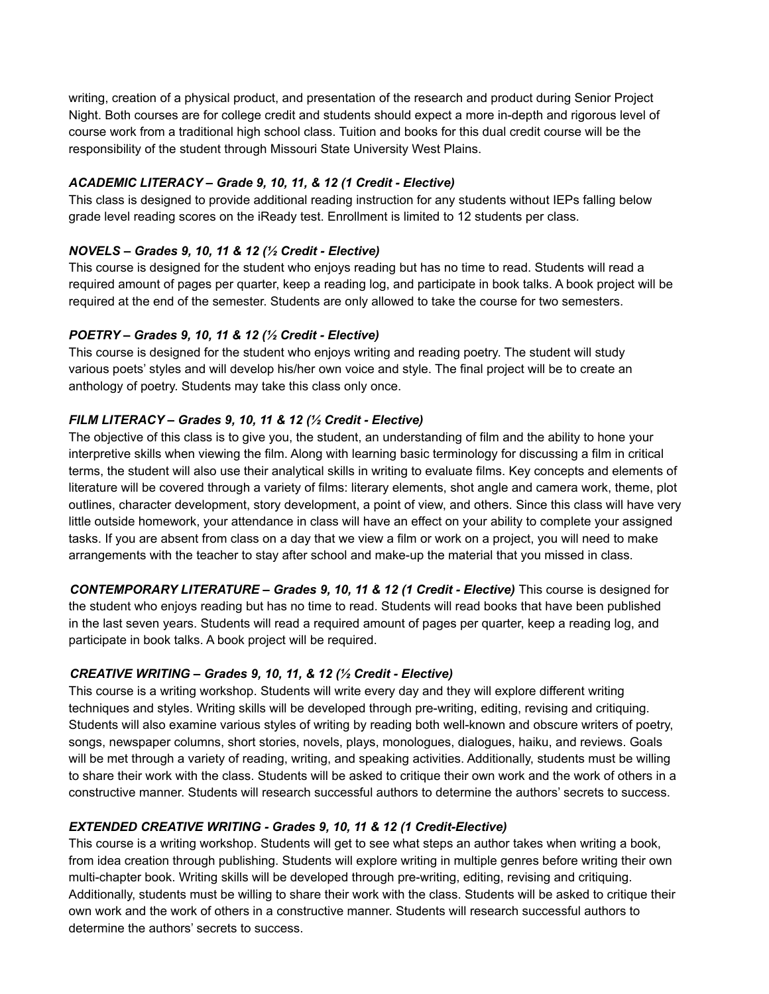writing, creation of a physical product, and presentation of the research and product during Senior Project Night. Both courses are for college credit and students should expect a more in-depth and rigorous level of course work from a traditional high school class. Tuition and books for this dual credit course will be the responsibility of the student through Missouri State University West Plains.

#### *ACADEMIC LITERACY – Grade 9, 10, 11, & 12 (1 Credit - Elective)*

This class is designed to provide additional reading instruction for any students without IEPs falling below grade level reading scores on the iReady test. Enrollment is limited to 12 students per class.

#### *NOVELS – Grades 9, 10, 11 & 12 (½ Credit - Elective)*

This course is designed for the student who enjoys reading but has no time to read. Students will read a required amount of pages per quarter, keep a reading log, and participate in book talks. A book project will be required at the end of the semester. Students are only allowed to take the course for two semesters.

#### *POETRY – Grades 9, 10, 11 & 12 (½ Credit - Elective)*

This course is designed for the student who enjoys writing and reading poetry. The student will study various poets' styles and will develop his/her own voice and style. The final project will be to create an anthology of poetry. Students may take this class only once.

#### *FILM LITERACY – Grades 9, 10, 11 & 12 (½ Credit - Elective)*

The objective of this class is to give you, the student, an understanding of film and the ability to hone your interpretive skills when viewing the film. Along with learning basic terminology for discussing a film in critical terms, the student will also use their analytical skills in writing to evaluate films. Key concepts and elements of literature will be covered through a variety of films: literary elements, shot angle and camera work, theme, plot outlines, character development, story development, a point of view, and others. Since this class will have very little outside homework, your attendance in class will have an effect on your ability to complete your assigned tasks. If you are absent from class on a day that we view a film or work on a project, you will need to make arrangements with the teacher to stay after school and make-up the material that you missed in class.

*CONTEMPORARY LITERATURE – Grades 9, 10, 11 & 12 (1 Credit - Elective)* This course is designed for the student who enjoys reading but has no time to read. Students will read books that have been published in the last seven years. Students will read a required amount of pages per quarter, keep a reading log, and participate in book talks. A book project will be required.

#### *CREATIVE WRITING – Grades 9, 10, 11, & 12 (½ Credit - Elective)*

This course is a writing workshop. Students will write every day and they will explore different writing techniques and styles. Writing skills will be developed through pre-writing, editing, revising and critiquing. Students will also examine various styles of writing by reading both well-known and obscure writers of poetry, songs, newspaper columns, short stories, novels, plays, monologues, dialogues, haiku, and reviews. Goals will be met through a variety of reading, writing, and speaking activities. Additionally, students must be willing to share their work with the class. Students will be asked to critique their own work and the work of others in a constructive manner. Students will research successful authors to determine the authors' secrets to success.

#### *EXTENDED CREATIVE WRITING - Grades 9, 10, 11 & 12 (1 Credit-Elective)*

This course is a writing workshop. Students will get to see what steps an author takes when writing a book, from idea creation through publishing. Students will explore writing in multiple genres before writing their own multi-chapter book. Writing skills will be developed through pre-writing, editing, revising and critiquing. Additionally, students must be willing to share their work with the class. Students will be asked to critique their own work and the work of others in a constructive manner. Students will research successful authors to determine the authors' secrets to success.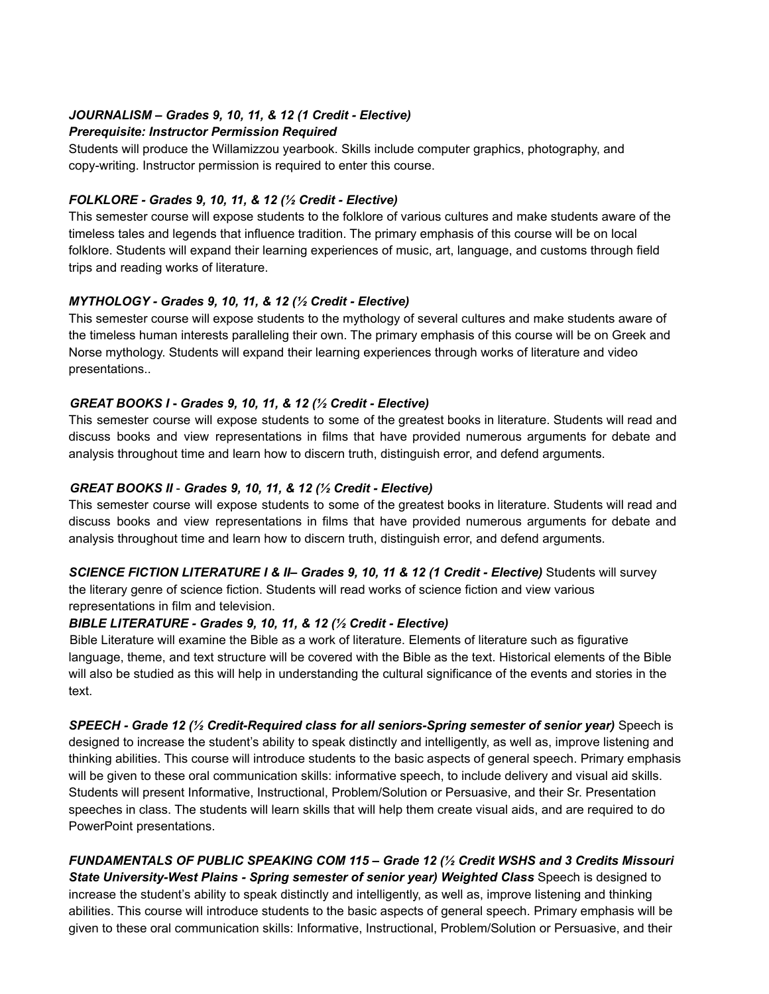## *JOURNALISM – Grades 9, 10, 11, & 12 (1 Credit - Elective)*

#### *Prerequisite: Instructor Permission Required*

Students will produce the Willamizzou yearbook. Skills include computer graphics, photography, and copy-writing. Instructor permission is required to enter this course.

#### *FOLKLORE - Grades 9, 10, 11, & 12 (½ Credit - Elective)*

This semester course will expose students to the folklore of various cultures and make students aware of the timeless tales and legends that influence tradition. The primary emphasis of this course will be on local folklore. Students will expand their learning experiences of music, art, language, and customs through field trips and reading works of literature.

#### *MYTHOLOGY - Grades 9, 10, 11, & 12 (½ Credit - Elective)*

This semester course will expose students to the mythology of several cultures and make students aware of the timeless human interests paralleling their own. The primary emphasis of this course will be on Greek and Norse mythology. Students will expand their learning experiences through works of literature and video presentations..

#### *GREAT BOOKS I* **-** *Grades 9, 10, 11, & 12 (½ Credit - Elective)*

This semester course will expose students to some of the greatest books in literature. Students will read and discuss books and view representations in films that have provided numerous arguments for debate and analysis throughout time and learn how to discern truth, distinguish error, and defend arguments.

#### *GREAT BOOKS II* - *Grades 9, 10, 11, & 12 (½ Credit - Elective)*

This semester course will expose students to some of the greatest books in literature. Students will read and discuss books and view representations in films that have provided numerous arguments for debate and analysis throughout time and learn how to discern truth, distinguish error, and defend arguments.

*SCIENCE FICTION LITERATURE I & II– Grades 9, 10, 11 & 12 (1 Credit - Elective)* Students will survey the literary genre of science fiction. Students will read works of science fiction and view various

representations in film and television.

#### *BIBLE LITERATURE - Grades 9, 10, 11, & 12 (½ Credit - Elective)*

Bible Literature will examine the Bible as a work of literature. Elements of literature such as figurative language, theme, and text structure will be covered with the Bible as the text. Historical elements of the Bible will also be studied as this will help in understanding the cultural significance of the events and stories in the text.

*SPEECH - Grade 12 (½ Credit-Required class for all seniors-Spring semester of senior year)* Speech is designed to increase the student's ability to speak distinctly and intelligently, as well as, improve listening and thinking abilities. This course will introduce students to the basic aspects of general speech. Primary emphasis will be given to these oral communication skills: informative speech, to include delivery and visual aid skills. Students will present Informative, Instructional, Problem/Solution or Persuasive, and their Sr. Presentation speeches in class. The students will learn skills that will help them create visual aids, and are required to do PowerPoint presentations.

*FUNDAMENTALS OF PUBLIC SPEAKING COM 115 – Grade 12 (½ Credit WSHS and 3 Credits Missouri State University-West Plains - Spring semester of senior year) Weighted Class* Speech is designed to increase the student's ability to speak distinctly and intelligently, as well as, improve listening and thinking abilities. This course will introduce students to the basic aspects of general speech. Primary emphasis will be given to these oral communication skills: Informative, Instructional, Problem/Solution or Persuasive, and their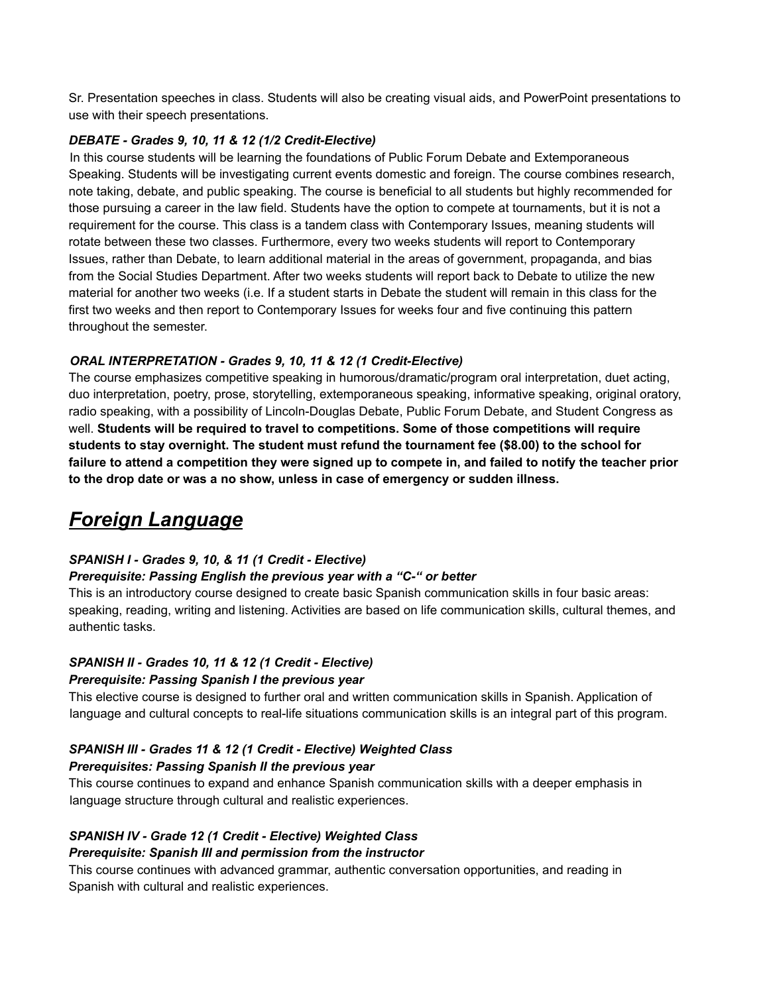Sr. Presentation speeches in class. Students will also be creating visual aids, and PowerPoint presentations to use with their speech presentations.

#### *DEBATE - Grades 9, 10, 11 & 12 (1/2 Credit-Elective)*

In this course students will be learning the foundations of Public Forum Debate and Extemporaneous Speaking. Students will be investigating current events domestic and foreign. The course combines research, note taking, debate, and public speaking. The course is beneficial to all students but highly recommended for those pursuing a career in the law field. Students have the option to compete at tournaments, but it is not a requirement for the course. This class is a tandem class with Contemporary Issues, meaning students will rotate between these two classes. Furthermore, every two weeks students will report to Contemporary Issues, rather than Debate, to learn additional material in the areas of government, propaganda, and bias from the Social Studies Department. After two weeks students will report back to Debate to utilize the new material for another two weeks (i.e. If a student starts in Debate the student will remain in this class for the first two weeks and then report to Contemporary Issues for weeks four and five continuing this pattern throughout the semester.

#### *ORAL INTERPRETATION - Grades 9, 10, 11 & 12 (1 Credit-Elective)*

The course emphasizes competitive speaking in humorous/dramatic/program oral interpretation, duet acting, duo interpretation, poetry, prose, storytelling, extemporaneous speaking, informative speaking, original oratory, radio speaking, with a possibility of Lincoln-Douglas Debate, Public Forum Debate, and Student Congress as well. **Students will be required to travel to competitions. Some of those competitions will require students to stay overnight. The student must refund the tournament fee (\$8.00) to the school for** failure to attend a competition they were signed up to compete in, and failed to notify the teacher prior **to the drop date or was a no show, unless in case of emergency or sudden illness.**

# *Foreign Language*

#### *SPANISH I - Grades 9, 10, & 11 (1 Credit - Elective)*

#### *Prerequisite: Passing English the previous year with a "C-" or better*

This is an introductory course designed to create basic Spanish communication skills in four basic areas: speaking, reading, writing and listening. Activities are based on life communication skills, cultural themes, and authentic tasks.

#### *SPANISH II - Grades 10, 11 & 12 (1 Credit - Elective)*

#### *Prerequisite: Passing Spanish I the previous year*

This elective course is designed to further oral and written communication skills in Spanish. Application of language and cultural concepts to real-life situations communication skills is an integral part of this program.

#### *SPANISH III - Grades 11 & 12 (1 Credit - Elective) Weighted Class*

#### *Prerequisites: Passing Spanish II the previous year*

This course continues to expand and enhance Spanish communication skills with a deeper emphasis in language structure through cultural and realistic experiences.

# *SPANISH IV - Grade 12 (1 Credit - Elective) Weighted Class*

#### *Prerequisite: Spanish III and permission from the instructor*

This course continues with advanced grammar, authentic conversation opportunities, and reading in Spanish with cultural and realistic experiences.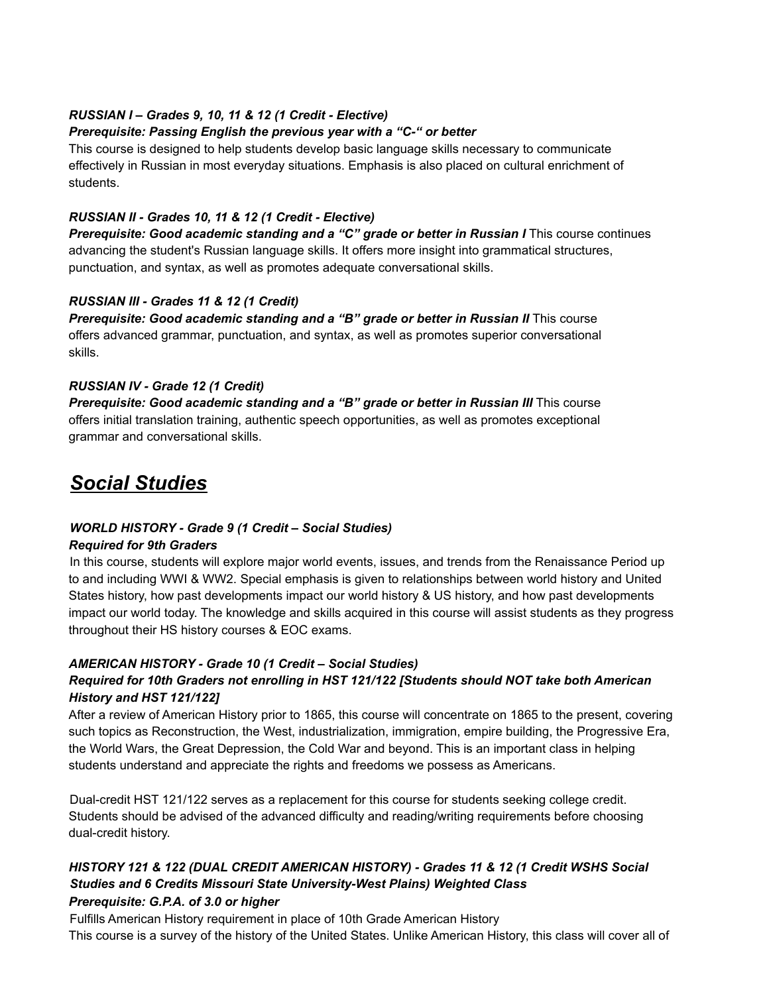#### *RUSSIAN I – Grades 9, 10, 11 & 12 (1 Credit - Elective)*

#### *Prerequisite: Passing English the previous year with a "C-" or better*

This course is designed to help students develop basic language skills necessary to communicate effectively in Russian in most everyday situations. Emphasis is also placed on cultural enrichment of students.

#### *RUSSIAN II - Grades 10, 11 & 12 (1 Credit - Elective)*

*Prerequisite: Good academic standing and a "C" grade or better in Russian I* This course continues advancing the student's Russian language skills. It offers more insight into grammatical structures, punctuation, and syntax, as well as promotes adequate conversational skills.

#### *RUSSIAN III - Grades 11 & 12 (1 Credit)*

*Prerequisite: Good academic standing and a "B" grade or better in Russian II* This course offers advanced grammar, punctuation, and syntax, as well as promotes superior conversational skills.

#### *RUSSIAN IV - Grade 12 (1 Credit)*

*Prerequisite: Good academic standing and a "B" grade or better in Russian III* This course offers initial translation training, authentic speech opportunities, as well as promotes exceptional grammar and conversational skills.

# *Social Studies*

#### *WORLD HISTORY - Grade 9 (1 Credit – Social Studies)*

#### *Required for 9th Graders*

In this course, students will explore major world events, issues, and trends from the Renaissance Period up to and including WWI & WW2. Special emphasis is given to relationships between world history and United States history, how past developments impact our world history & US history, and how past developments impact our world today. The knowledge and skills acquired in this course will assist students as they progress throughout their HS history courses & EOC exams.

#### *AMERICAN HISTORY - Grade 10 (1 Credit – Social Studies)*

## *Required for 10th Graders not enrolling in HST 121/122 [Students should NOT take both American History and HST 121/122]*

After a review of American History prior to 1865, this course will concentrate on 1865 to the present, covering such topics as Reconstruction, the West, industrialization, immigration, empire building, the Progressive Era, the World Wars, the Great Depression, the Cold War and beyond. This is an important class in helping students understand and appreciate the rights and freedoms we possess as Americans.

Dual-credit HST 121/122 serves as a replacement for this course for students seeking college credit. Students should be advised of the advanced difficulty and reading/writing requirements before choosing dual-credit history.

#### *HISTORY 121 & 122 (DUAL CREDIT AMERICAN HISTORY) - Grades 11 & 12 (1 Credit WSHS Social Studies and 6 Credits Missouri State University-West Plains) Weighted Class Prerequisite: G.P.A. of 3.0 or higher*

Fulfills American History requirement in place of 10th Grade American History This course is a survey of the history of the United States. Unlike American History, this class will cover all of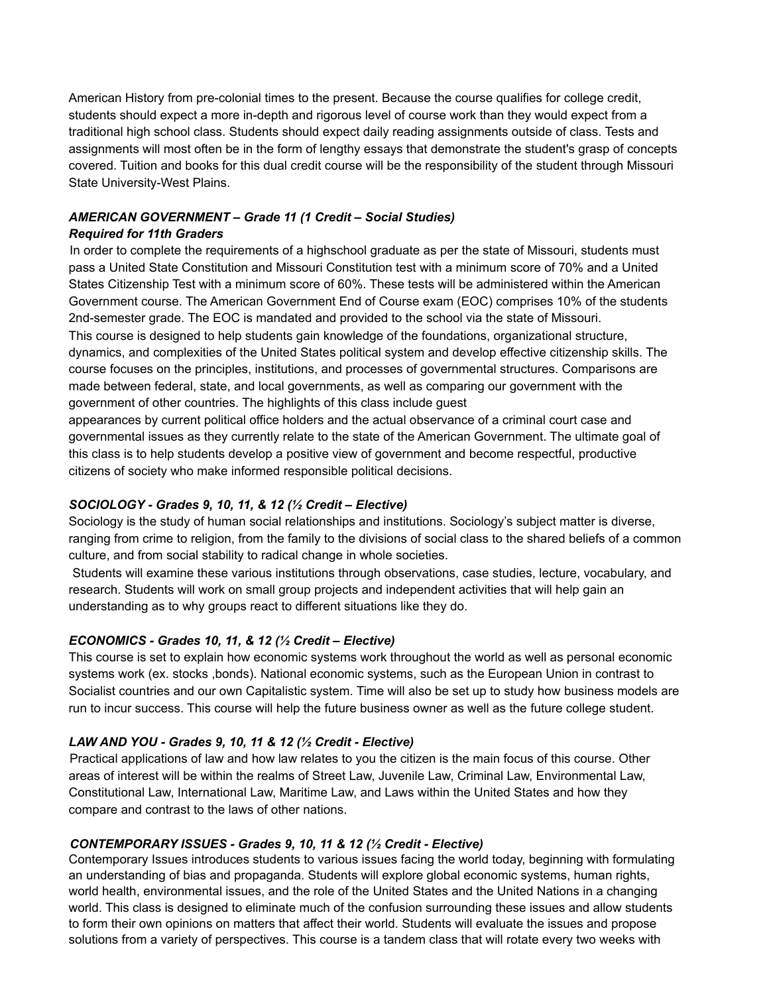American History from pre-colonial times to the present. Because the course qualifies for college credit, students should expect a more in-depth and rigorous level of course work than they would expect from a traditional high school class. Students should expect daily reading assignments outside of class. Tests and assignments will most often be in the form of lengthy essays that demonstrate the student's grasp of concepts covered. Tuition and books for this dual credit course will be the responsibility of the student through Missouri State University-West Plains.

# *AMERICAN GOVERNMENT – Grade 11 (1 Credit – Social Studies)*

#### *Required for 11th Graders*

In order to complete the requirements of a highschool graduate as per the state of Missouri, students must pass a United State Constitution and Missouri Constitution test with a minimum score of 70% and a United States Citizenship Test with a minimum score of 60%. These tests will be administered within the American Government course. The American Government End of Course exam (EOC) comprises 10% of the students 2nd-semester grade. The EOC is mandated and provided to the school via the state of Missouri. This course is designed to help students gain knowledge of the foundations, organizational structure, dynamics, and complexities of the United States political system and develop effective citizenship skills. The course focuses on the principles, institutions, and processes of governmental structures. Comparisons are made between federal, state, and local governments, as well as comparing our government with the government of other countries. The highlights of this class include guest

appearances by current political office holders and the actual observance of a criminal court case and governmental issues as they currently relate to the state of the American Government. The ultimate goal of this class is to help students develop a positive view of government and become respectful, productive citizens of society who make informed responsible political decisions.

#### *SOCIOLOGY - Grades 9, 10, 11, & 12 (½ Credit – Elective)*

Sociology is the study of human social relationships and institutions. Sociology's subject matter is diverse, ranging from crime to religion, from the family to the divisions of social class to the shared beliefs of a common culture, and from social stability to radical change in whole societies.

Students will examine these various institutions through observations, case studies, lecture, vocabulary, and research. Students will work on small group projects and independent activities that will help gain an understanding as to why groups react to different situations like they do.

#### *ECONOMICS - Grades 10, 11, & 12 (½ Credit – Elective)*

This course is set to explain how economic systems work throughout the world as well as personal economic systems work (ex. stocks ,bonds). National economic systems, such as the European Union in contrast to Socialist countries and our own Capitalistic system. Time will also be set up to study how business models are run to incur success. This course will help the future business owner as well as the future college student.

#### *LAW AND YOU - Grades 9, 10, 11 & 12 (½ Credit - Elective)*

Practical applications of law and how law relates to you the citizen is the main focus of this course. Other areas of interest will be within the realms of Street Law, Juvenile Law, Criminal Law, Environmental Law, Constitutional Law, International Law, Maritime Law, and Laws within the United States and how they compare and contrast to the laws of other nations.

#### *CONTEMPORARY ISSUES - Grades 9, 10, 11 & 12 (½ Credit - Elective)*

Contemporary Issues introduces students to various issues facing the world today, beginning with formulating an understanding of bias and propaganda. Students will explore global economic systems, human rights, world health, environmental issues, and the role of the United States and the United Nations in a changing world. This class is designed to eliminate much of the confusion surrounding these issues and allow students to form their own opinions on matters that affect their world. Students will evaluate the issues and propose solutions from a variety of perspectives. This course is a tandem class that will rotate every two weeks with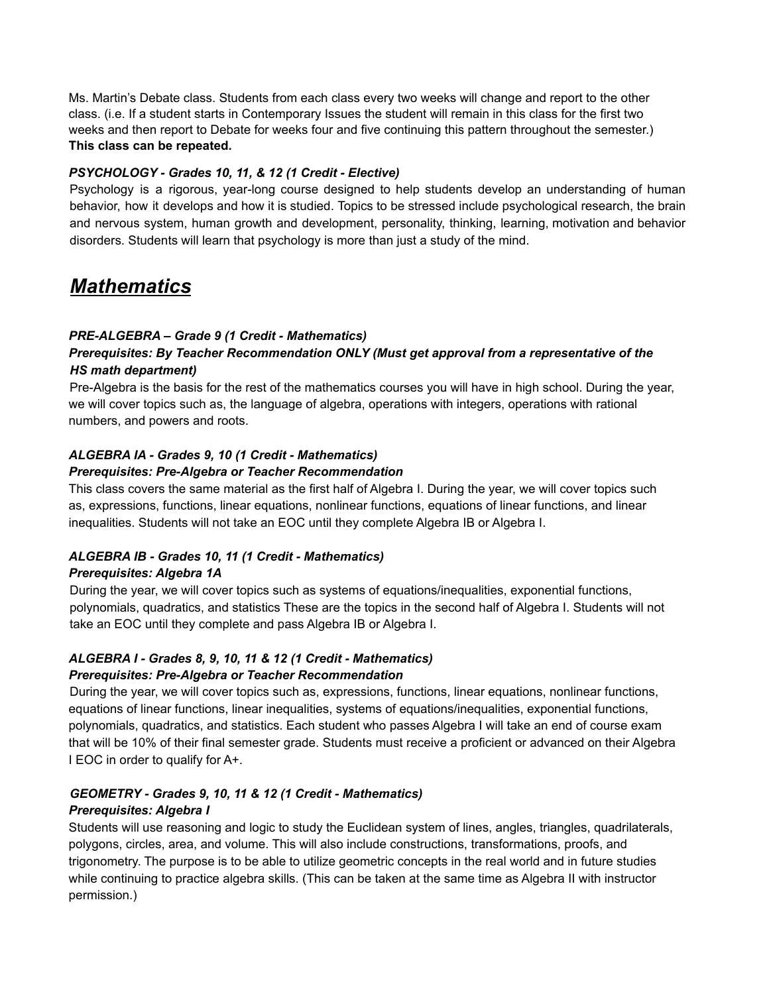Ms. Martin's Debate class. Students from each class every two weeks will change and report to the other class. (i.e. If a student starts in Contemporary Issues the student will remain in this class for the first two weeks and then report to Debate for weeks four and five continuing this pattern throughout the semester.) **This class can be repeated.**

#### *PSYCHOLOGY - Grades 10, 11, & 12 (1 Credit - Elective)*

Psychology is a rigorous, year-long course designed to help students develop an understanding of human behavior, how it develops and how it is studied. Topics to be stressed include psychological research, the brain and nervous system, human growth and development, personality, thinking, learning, motivation and behavior disorders. Students will learn that psychology is more than just a study of the mind.

# *Mathematics*

#### *PRE-ALGEBRA – Grade 9 (1 Credit - Mathematics)*

#### *Prerequisites: By Teacher Recommendation ONLY (Must get approval from a representative of the HS math department)*

Pre-Algebra is the basis for the rest of the mathematics courses you will have in high school. During the year, we will cover topics such as, the language of algebra, operations with integers, operations with rational numbers, and powers and roots.

## *ALGEBRA IA - Grades 9, 10 (1 Credit - Mathematics)*

#### *Prerequisites: Pre-Algebra or Teacher Recommendation*

This class covers the same material as the first half of Algebra I. During the year, we will cover topics such as, expressions, functions, linear equations, nonlinear functions, equations of linear functions, and linear inequalities. Students will not take an EOC until they complete Algebra IB or Algebra I.

#### *ALGEBRA IB - Grades 10, 11 (1 Credit - Mathematics)*

#### *Prerequisites: Algebra 1A*

During the year, we will cover topics such as systems of equations/inequalities, exponential functions, polynomials, quadratics, and statistics These are the topics in the second half of Algebra I. Students will not take an EOC until they complete and pass Algebra IB or Algebra I.

#### *ALGEBRA I - Grades 8, 9, 10, 11 & 12 (1 Credit - Mathematics)*

#### *Prerequisites: Pre-Algebra or Teacher Recommendation*

During the year, we will cover topics such as, expressions, functions, linear equations, nonlinear functions, equations of linear functions, linear inequalities, systems of equations/inequalities, exponential functions, polynomials, quadratics, and statistics. Each student who passes Algebra I will take an end of course exam that will be 10% of their final semester grade. Students must receive a proficient or advanced on their Algebra I EOC in order to qualify for A+.

#### *GEOMETRY - Grades 9, 10, 11 & 12 (1 Credit - Mathematics)*

#### *Prerequisites: Algebra I*

Students will use reasoning and logic to study the Euclidean system of lines, angles, triangles, quadrilaterals, polygons, circles, area, and volume. This will also include constructions, transformations, proofs, and trigonometry. The purpose is to be able to utilize geometric concepts in the real world and in future studies while continuing to practice algebra skills. (This can be taken at the same time as Algebra II with instructor permission.)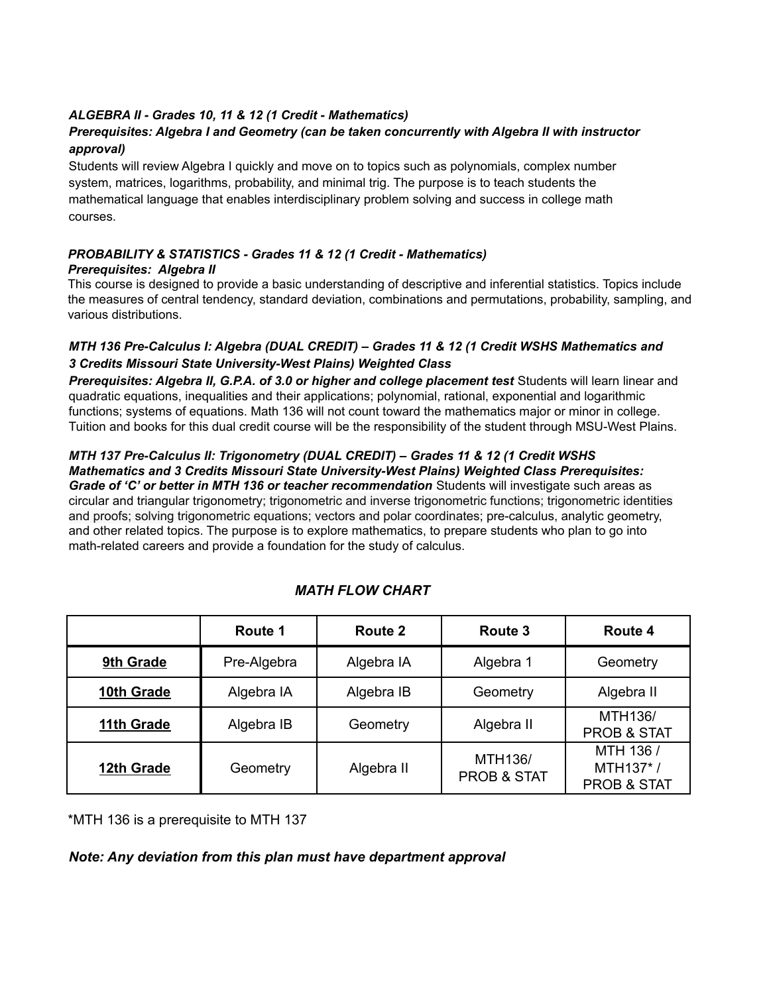#### *ALGEBRA II - Grades 10, 11 & 12 (1 Credit - Mathematics)*

#### *Prerequisites: Algebra I and Geometry (can be taken concurrently with Algebra II with instructor approval)*

Students will review Algebra I quickly and move on to topics such as polynomials, complex number system, matrices, logarithms, probability, and minimal trig. The purpose is to teach students the mathematical language that enables interdisciplinary problem solving and success in college math courses.

#### *PROBABILITY & STATISTICS - Grades 11 & 12 (1 Credit - Mathematics) Prerequisites: Algebra II*

This course is designed to provide a basic understanding of descriptive and inferential statistics. Topics include the measures of central tendency, standard deviation, combinations and permutations, probability, sampling, and various distributions.

#### *MTH 136 Pre-Calculus I: Algebra (DUAL CREDIT) – Grades 11 & 12 (1 Credit WSHS Mathematics and 3 Credits Missouri State University-West Plains) Weighted Class*

*Prerequisites: Algebra II, G.P.A. of 3.0 or higher and college placement test* Students will learn linear and quadratic equations, inequalities and their applications; polynomial, rational, exponential and logarithmic functions; systems of equations. Math 136 will not count toward the mathematics major or minor in college. Tuition and books for this dual credit course will be the responsibility of the student through MSU-West Plains.

#### *MTH 137 Pre-Calculus II: Trigonometry (DUAL CREDIT) – Grades 11 & 12 (1 Credit WSHS Mathematics and 3 Credits Missouri State University-West Plains) Weighted Class Prerequisites:*

*Grade of 'C' or better in MTH 136 or teacher recommendation* Students will investigate such areas as circular and triangular trigonometry; trigonometric and inverse trigonometric functions; trigonometric identities and proofs; solving trigonometric equations; vectors and polar coordinates; pre-calculus, analytic geometry, and other related topics. The purpose is to explore mathematics, to prepare students who plan to go into math-related careers and provide a foundation for the study of calculus.

|            | Route 1     | Route 2    | Route 3                           | Route 4                                         |
|------------|-------------|------------|-----------------------------------|-------------------------------------------------|
| 9th Grade  | Pre-Algebra | Algebra IA | Algebra 1                         | Geometry                                        |
| 10th Grade | Algebra IA  | Algebra IB | Geometry                          | Algebra II                                      |
| 11th Grade | Algebra IB  | Geometry   | Algebra II                        | MTH136/<br><b>PROB &amp; STAT</b>               |
| 12th Grade | Geometry    | Algebra II | MTH136/<br><b>PROB &amp; STAT</b> | MTH 136 /<br>MTH137*/<br><b>PROB &amp; STAT</b> |

# *MATH FLOW CHART*

\*MTH 136 is a prerequisite to MTH 137

#### *Note: Any deviation from this plan must have department approval*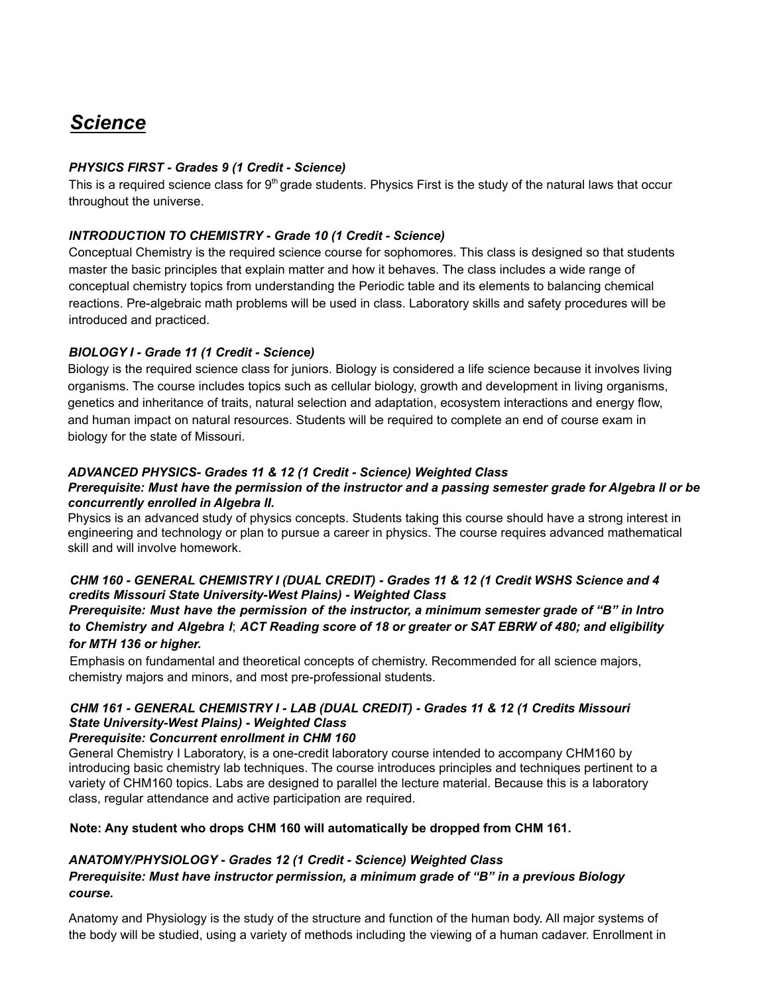# *Science*

#### *PHYSICS FIRST - Grades 9 (1 Credit - Science)*

This is a required science class for 9<sup>th</sup> grade students. Physics First is the study of the natural laws that occur throughout the universe.

#### *INTRODUCTION TO CHEMISTRY* **-** *Grade 10 (1 Credit - Science)*

Conceptual Chemistry is the required science course for sophomores. This class is designed so that students master the basic principles that explain matter and how it behaves. The class includes a wide range of conceptual chemistry topics from understanding the Periodic table and its elements to balancing chemical reactions. Pre-algebraic math problems will be used in class. Laboratory skills and safety procedures will be introduced and practiced.

#### *BIOLOGY I - Grade 11 (1 Credit - Science)*

Biology is the required science class for juniors. Biology is considered a life science because it involves living organisms. The course includes topics such as cellular biology, growth and development in living organisms, genetics and inheritance of traits, natural selection and adaptation, ecosystem interactions and energy flow, and human impact on natural resources. Students will be required to complete an end of course exam in biology for the state of Missouri.

#### *ADVANCED PHYSICS- Grades 11 & 12 (1 Credit - Science) Weighted Class*

#### Prerequisite: Must have the permission of the instructor and a passing semester grade for Algebra II or be *concurrently enrolled in Algebra II.*

Physics is an advanced study of physics concepts. Students taking this course should have a strong interest in engineering and technology or plan to pursue a career in physics. The course requires advanced mathematical skill and will involve homework.

#### *CHM 160 - GENERAL CHEMISTRY I (DUAL CREDIT) - Grades 11 & 12 (1 Credit WSHS Science and 4 credits Missouri State University-West Plains) - Weighted Class*

#### *Prerequisite: Must have the permission of the instructor, a minimum semester grade of "B" in Intro* to Chemistry and Algebra I; ACT Reading score of 18 or greater or SAT EBRW of 480; and eligibility *for MTH 136 or higher.*

Emphasis on fundamental and theoretical concepts of chemistry. Recommended for all science majors, chemistry majors and minors, and most pre-professional students.

# *CHM 161 - GENERAL CHEMISTRY I - LAB (DUAL CREDIT) - Grades 11 & 12 (1 Credits Missouri State University-West Plains) - Weighted Class*

#### *Prerequisite: Concurrent enrollment in CHM 160*

General Chemistry I Laboratory, is a one-credit laboratory course intended to accompany CHM160 by introducing basic chemistry lab techniques. The course introduces principles and techniques pertinent to a variety of CHM160 topics. Labs are designed to parallel the lecture material. Because this is a laboratory class, regular attendance and active participation are required.

#### **Note: Any student who drops CHM 160 will automatically be dropped from CHM 161.**

#### *ANATOMY/PHYSIOLOGY - Grades 12 (1 Credit - Science) Weighted Class*

#### *Prerequisite: Must have instructor permission, a minimum grade of "B" in a previous Biology course.*

Anatomy and Physiology is the study of the structure and function of the human body. All major systems of the body will be studied, using a variety of methods including the viewing of a human cadaver. Enrollment in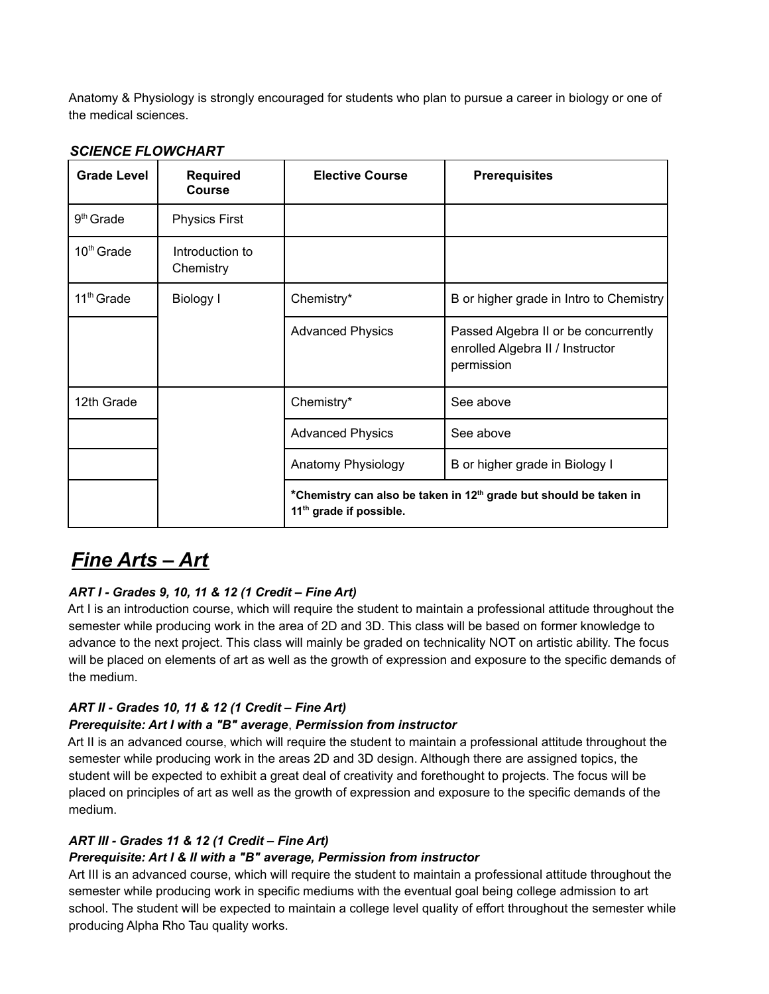Anatomy & Physiology is strongly encouraged for students who plan to pursue a career in biology or one of the medical sciences.

## *SCIENCE FLOWCHART*

| <b>Grade Level</b>     | <b>Required</b><br><b>Course</b> | <b>Elective Course</b>                                                                                               | <b>Prerequisites</b>                                                                   |
|------------------------|----------------------------------|----------------------------------------------------------------------------------------------------------------------|----------------------------------------------------------------------------------------|
| $9th$ Grade            | <b>Physics First</b>             |                                                                                                                      |                                                                                        |
| $10th$ Grade           | Introduction to<br>Chemistry     |                                                                                                                      |                                                                                        |
| 11 <sup>th</sup> Grade | Biology I                        | Chemistry*                                                                                                           | B or higher grade in Intro to Chemistry                                                |
|                        |                                  | <b>Advanced Physics</b>                                                                                              | Passed Algebra II or be concurrently<br>enrolled Algebra II / Instructor<br>permission |
| 12th Grade             |                                  | Chemistry*                                                                                                           | See above                                                                              |
|                        |                                  | <b>Advanced Physics</b>                                                                                              | See above                                                                              |
|                        |                                  | Anatomy Physiology                                                                                                   | B or higher grade in Biology I                                                         |
|                        |                                  | *Chemistry can also be taken in 12 <sup>th</sup> grade but should be taken in<br>11 <sup>th</sup> grade if possible. |                                                                                        |

# *Fine Arts – Art*

# *ART I - Grades 9, 10, 11 & 12 (1 Credit – Fine Art)*

Art I is an introduction course, which will require the student to maintain a professional attitude throughout the semester while producing work in the area of 2D and 3D. This class will be based on former knowledge to advance to the next project. This class will mainly be graded on technicality NOT on artistic ability. The focus will be placed on elements of art as well as the growth of expression and exposure to the specific demands of the medium.

# *ART II - Grades 10, 11 & 12 (1 Credit – Fine Art)*

#### *Prerequisite: Art I with a "B" average*, *Permission from instructor*

Art II is an advanced course, which will require the student to maintain a professional attitude throughout the semester while producing work in the areas 2D and 3D design. Although there are assigned topics, the student will be expected to exhibit a great deal of creativity and forethought to projects. The focus will be placed on principles of art as well as the growth of expression and exposure to the specific demands of the medium.

#### *ART III - Grades 11 & 12 (1 Credit – Fine Art)*

#### *Prerequisite: Art I & II with a "B" average, Permission from instructor*

Art III is an advanced course, which will require the student to maintain a professional attitude throughout the semester while producing work in specific mediums with the eventual goal being college admission to art school. The student will be expected to maintain a college level quality of effort throughout the semester while producing Alpha Rho Tau quality works.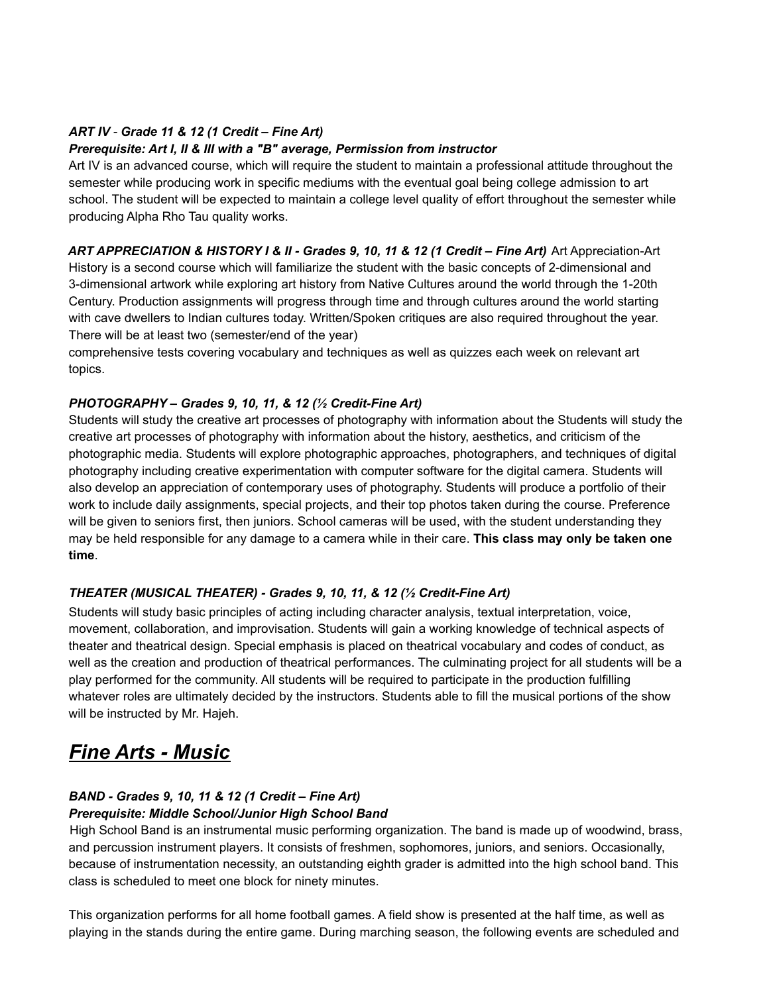#### *ART IV - Grade 11 & 12 (1 Credit – Fine Art)*

#### *Prerequisite: Art I, II & III with a "B" average, Permission from instructor*

Art IV is an advanced course, which will require the student to maintain a professional attitude throughout the semester while producing work in specific mediums with the eventual goal being college admission to art school. The student will be expected to maintain a college level quality of effort throughout the semester while producing Alpha Rho Tau quality works.

ART APPRECIATION & HISTORY I & II - Grades 9, 10, 11 & 12 (1 Credit - Fine Art) Art Appreciation-Art History is a second course which will familiarize the student with the basic concepts of 2-dimensional and 3-dimensional artwork while exploring art history from Native Cultures around the world through the 1-20th Century. Production assignments will progress through time and through cultures around the world starting with cave dwellers to Indian cultures today. Written/Spoken critiques are also required throughout the year. There will be at least two (semester/end of the year)

comprehensive tests covering vocabulary and techniques as well as quizzes each week on relevant art topics.

#### *PHOTOGRAPHY – Grades 9, 10, 11, & 12 (½ Credit-Fine Art)*

Students will study the creative art processes of photography with information about the Students will study the creative art processes of photography with information about the history, aesthetics, and criticism of the photographic media. Students will explore photographic approaches, photographers, and techniques of digital photography including creative experimentation with computer software for the digital camera. Students will also develop an appreciation of contemporary uses of photography. Students will produce a portfolio of their work to include daily assignments, special projects, and their top photos taken during the course. Preference will be given to seniors first, then juniors. School cameras will be used, with the student understanding they may be held responsible for any damage to a camera while in their care. **This class may only be taken one time**.

#### *THEATER (MUSICAL THEATER) - Grades 9, 10, 11, & 12 (½ Credit-Fine Art)*

Students will study basic principles of acting including character analysis, textual interpretation, voice, movement, collaboration, and improvisation. Students will gain a working knowledge of technical aspects of theater and theatrical design. Special emphasis is placed on theatrical vocabulary and codes of conduct, as well as the creation and production of theatrical performances. The culminating project for all students will be a play performed for the community. All students will be required to participate in the production fulfilling whatever roles are ultimately decided by the instructors. Students able to fill the musical portions of the show will be instructed by Mr. Hajeh.

# *Fine Arts - Music*

#### *BAND - Grades 9, 10, 11 & 12 (1 Credit – Fine Art) Prerequisite: Middle School/Junior High School Band*

High School Band is an instrumental music performing organization. The band is made up of woodwind, brass, and percussion instrument players. It consists of freshmen, sophomores, juniors, and seniors. Occasionally, because of instrumentation necessity, an outstanding eighth grader is admitted into the high school band. This class is scheduled to meet one block for ninety minutes.

This organization performs for all home football games. A field show is presented at the half time, as well as playing in the stands during the entire game. During marching season, the following events are scheduled and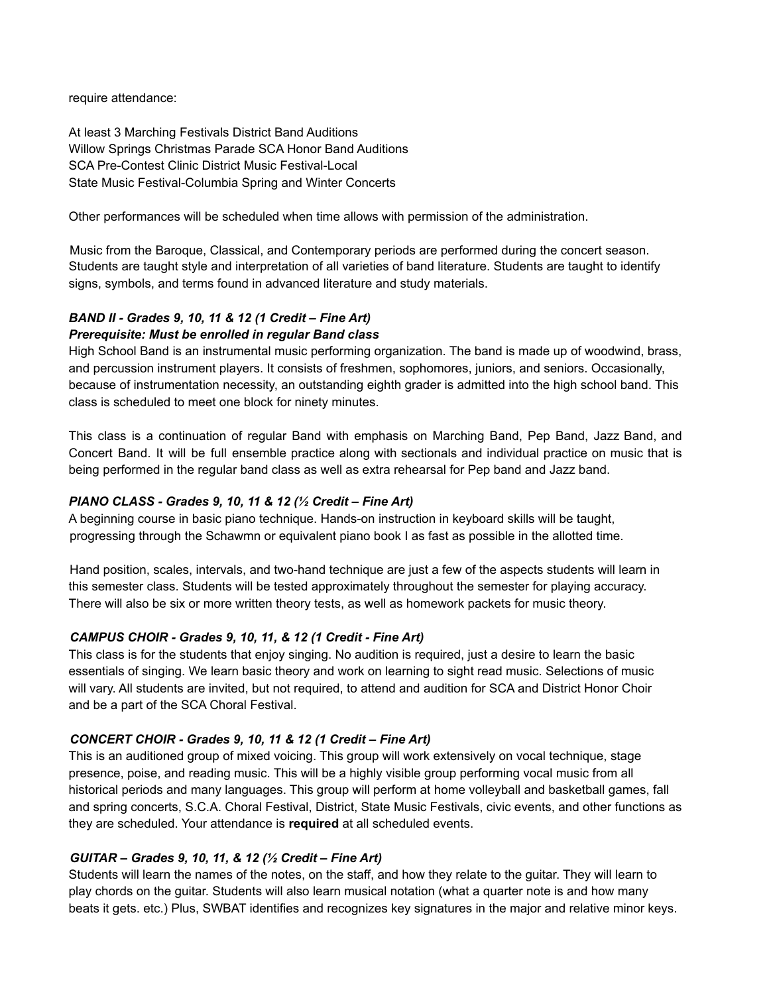require attendance:

At least 3 Marching Festivals District Band Auditions Willow Springs Christmas Parade SCA Honor Band Auditions SCA Pre-Contest Clinic District Music Festival-Local State Music Festival-Columbia Spring and Winter Concerts

Other performances will be scheduled when time allows with permission of the administration.

Music from the Baroque, Classical, and Contemporary periods are performed during the concert season. Students are taught style and interpretation of all varieties of band literature. Students are taught to identify signs, symbols, and terms found in advanced literature and study materials.

## *BAND II - Grades 9, 10, 11 & 12 (1 Credit – Fine Art)*

#### *Prerequisite: Must be enrolled in regular Band class*

High School Band is an instrumental music performing organization. The band is made up of woodwind, brass, and percussion instrument players. It consists of freshmen, sophomores, juniors, and seniors. Occasionally, because of instrumentation necessity, an outstanding eighth grader is admitted into the high school band. This class is scheduled to meet one block for ninety minutes.

This class is a continuation of regular Band with emphasis on Marching Band, Pep Band, Jazz Band, and Concert Band. It will be full ensemble practice along with sectionals and individual practice on music that is being performed in the regular band class as well as extra rehearsal for Pep band and Jazz band.

#### *PIANO CLASS - Grades 9, 10, 11 & 12 (½ Credit – Fine Art)*

A beginning course in basic piano technique. Hands-on instruction in keyboard skills will be taught, progressing through the Schawmn or equivalent piano book I as fast as possible in the allotted time.

Hand position, scales, intervals, and two-hand technique are just a few of the aspects students will learn in this semester class. Students will be tested approximately throughout the semester for playing accuracy. There will also be six or more written theory tests, as well as homework packets for music theory.

#### *CAMPUS CHOIR - Grades 9, 10, 11, & 12 (1 Credit - Fine Art)*

This class is for the students that enjoy singing. No audition is required, just a desire to learn the basic essentials of singing. We learn basic theory and work on learning to sight read music. Selections of music will vary. All students are invited, but not required, to attend and audition for SCA and District Honor Choir and be a part of the SCA Choral Festival.

#### *CONCERT CHOIR - Grades 9, 10, 11 & 12 (1 Credit – Fine Art)*

This is an auditioned group of mixed voicing. This group will work extensively on vocal technique, stage presence, poise, and reading music. This will be a highly visible group performing vocal music from all historical periods and many languages. This group will perform at home volleyball and basketball games, fall and spring concerts, S.C.A. Choral Festival, District, State Music Festivals, civic events, and other functions as they are scheduled. Your attendance is **required** at all scheduled events.

#### *GUITAR – Grades 9, 10, 11, & 12 (½ Credit – Fine Art)*

Students will learn the names of the notes, on the staff, and how they relate to the guitar. They will learn to play chords on the guitar. Students will also learn musical notation (what a quarter note is and how many beats it gets. etc.) Plus, SWBAT identifies and recognizes key signatures in the major and relative minor keys.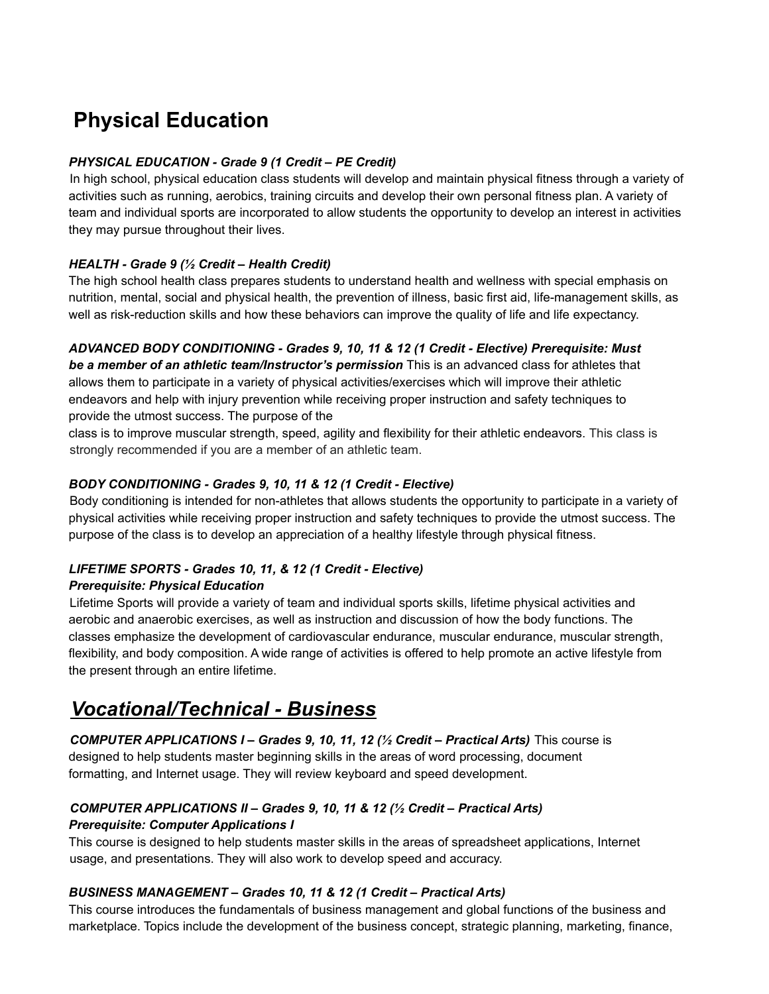# **Physical Education**

#### *PHYSICAL EDUCATION - Grade 9 (1 Credit – PE Credit)*

In high school, physical education class students will develop and maintain physical fitness through a variety of activities such as running, aerobics, training circuits and develop their own personal fitness plan. A variety of team and individual sports are incorporated to allow students the opportunity to develop an interest in activities they may pursue throughout their lives.

#### *HEALTH - Grade 9 (½ Credit – Health Credit)*

The high school health class prepares students to understand health and wellness with special emphasis on nutrition, mental, social and physical health, the prevention of illness, basic first aid, life-management skills, as well as risk-reduction skills and how these behaviors can improve the quality of life and life expectancy.

#### *ADVANCED BODY CONDITIONING - Grades 9, 10, 11 & 12 (1 Credit - Elective) Prerequisite: Must*

*be a member of an athletic team/Instructor's permission* This is an advanced class for athletes that allows them to participate in a variety of physical activities/exercises which will improve their athletic endeavors and help with injury prevention while receiving proper instruction and safety techniques to provide the utmost success. The purpose of the

class is to improve muscular strength, speed, agility and flexibility for their athletic endeavors. This class is strongly recommended if you are a member of an athletic team.

#### *BODY CONDITIONING - Grades 9, 10, 11 & 12 (1 Credit - Elective)*

Body conditioning is intended for non-athletes that allows students the opportunity to participate in a variety of physical activities while receiving proper instruction and safety techniques to provide the utmost success. The purpose of the class is to develop an appreciation of a healthy lifestyle through physical fitness.

# *LIFETIME SPORTS - Grades 10, 11, & 12 (1 Credit - Elective)*

#### *Prerequisite: Physical Education*

Lifetime Sports will provide a variety of team and individual sports skills, lifetime physical activities and aerobic and anaerobic exercises, as well as instruction and discussion of how the body functions. The classes emphasize the development of cardiovascular endurance, muscular endurance, muscular strength, flexibility, and body composition. A wide range of activities is offered to help promote an active lifestyle from the present through an entire lifetime.

# *Vocational/Technical - Business*

*COMPUTER APPLICATIONS I – Grades 9, 10, 11, 12 (½ Credit – Practical Arts)* This course is designed to help students master beginning skills in the areas of word processing, document formatting, and Internet usage. They will review keyboard and speed development.

## *COMPUTER APPLICATIONS II – Grades 9, 10, 11 & 12 (½ Credit – Practical Arts) Prerequisite: Computer Applications I*

This course is designed to help students master skills in the areas of spreadsheet applications, Internet usage, and presentations. They will also work to develop speed and accuracy.

#### *BUSINESS MANAGEMENT – Grades 10, 11 & 12 (1 Credit – Practical Arts)*

This course introduces the fundamentals of business management and global functions of the business and marketplace. Topics include the development of the business concept, strategic planning, marketing, finance,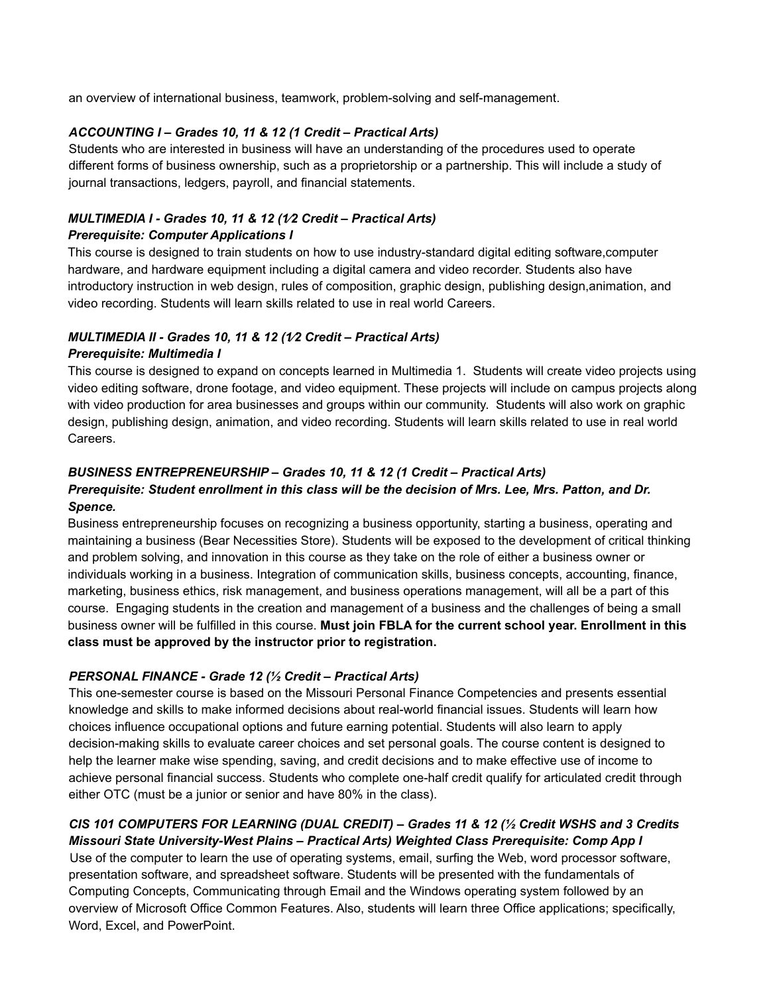an overview of international business, teamwork, problem-solving and self-management.

#### *ACCOUNTING I – Grades 10, 11 & 12 (1 Credit – Practical Arts)*

Students who are interested in business will have an understanding of the procedures used to operate different forms of business ownership, such as a proprietorship or a partnership. This will include a study of journal transactions, ledgers, payroll, and financial statements.

#### *MULTIMEDIA I - Grades 10, 11 & 12 (1⁄2 Credit – Practical Arts) Prerequisite: Computer Applications I*

This course is designed to train students on how to use industry-standard digital editing software,computer hardware, and hardware equipment including a digital camera and video recorder. Students also have introductory instruction in web design, rules of composition, graphic design, publishing design,animation, and video recording. Students will learn skills related to use in real world Careers.

# *MULTIMEDIA II - Grades 10, 11 & 12 (1⁄2 Credit – Practical Arts)*

#### *Prerequisite: Multimedia I*

This course is designed to expand on concepts learned in Multimedia 1. Students will create video projects using video editing software, drone footage, and video equipment. These projects will include on campus projects along with video production for area businesses and groups within our community. Students will also work on graphic design, publishing design, animation, and video recording. Students will learn skills related to use in real world Careers.

## *BUSINESS ENTREPRENEURSHIP – Grades 10, 11 & 12 (1 Credit – Practical Arts)*

## *Prerequisite: Student enrollment in this class will be the decision of Mrs. Lee, Mrs. Patton, and Dr. Spence.*

Business entrepreneurship focuses on recognizing a business opportunity, starting a business, operating and maintaining a business (Bear Necessities Store). Students will be exposed to the development of critical thinking and problem solving, and innovation in this course as they take on the role of either a business owner or individuals working in a business. Integration of communication skills, business concepts, accounting, finance, marketing, business ethics, risk management, and business operations management, will all be a part of this course. Engaging students in the creation and management of a business and the challenges of being a small business owner will be fulfilled in this course. **Must join FBLA for the current school year. Enrollment in this class must be approved by the instructor prior to registration.**

#### *PERSONAL FINANCE - Grade 12 (½ Credit – Practical Arts)*

This one-semester course is based on the Missouri Personal Finance Competencies and presents essential knowledge and skills to make informed decisions about real-world financial issues. Students will learn how choices influence occupational options and future earning potential. Students will also learn to apply decision-making skills to evaluate career choices and set personal goals. The course content is designed to help the learner make wise spending, saving, and credit decisions and to make effective use of income to achieve personal financial success. Students who complete one-half credit qualify for articulated credit through either OTC (must be a junior or senior and have 80% in the class).

#### *CIS 101 COMPUTERS FOR LEARNING (DUAL CREDIT) – Grades 11 & 12 (½ Credit WSHS and 3 Credits Missouri State University-West Plains – Practical Arts) Weighted Class Prerequisite: Comp App I*

Use of the computer to learn the use of operating systems, email, surfing the Web, word processor software, presentation software, and spreadsheet software. Students will be presented with the fundamentals of Computing Concepts, Communicating through Email and the Windows operating system followed by an overview of Microsoft Office Common Features. Also, students will learn three Office applications; specifically, Word, Excel, and PowerPoint.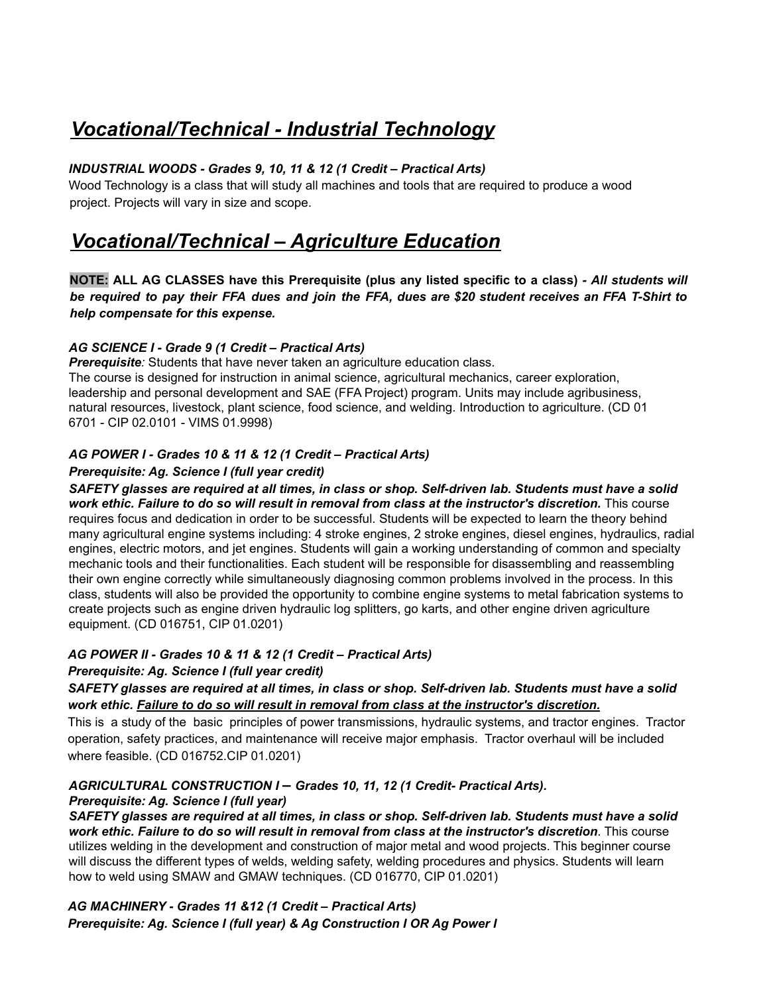# *Vocational/Technical - Industrial Technology*

#### *INDUSTRIAL WOODS - Grades 9, 10, 11 & 12 (1 Credit – Practical Arts)*

Wood Technology is a class that will study all machines and tools that are required to produce a wood project. Projects will vary in size and scope.

# *Vocational/Technical – Agriculture Education*

NOTE: ALL AG CLASSES have this Prerequisite (plus any listed specific to a class) - All students will be required to pay their FFA dues and join the FFA, dues are \$20 student receives an FFA T-Shirt to *help compensate for this expense.*

#### *AG SCIENCE I - Grade 9 (1 Credit – Practical Arts)*

**Prerequisite**: Students that have never taken an agriculture education class. The course is designed for instruction in animal science, agricultural mechanics, career exploration, leadership and personal development and SAE (FFA Project) program. Units may include agribusiness, natural resources, livestock, plant science, food science, and welding. Introduction to agriculture. (CD 01 6701 - CIP 02.0101 - VIMS 01.9998)

#### *AG POWER I - Grades 10 & 11 & 12 (1 Credit – Practical Arts)*

#### *Prerequisite: Ag. Science I (full year credit)*

SAFETY glasses are required at all times, in class or shop. Self-driven lab. Students must have a solid *work ethic. Failure to do so will result in removal from class at the instructor's discretion.* This course requires focus and dedication in order to be successful. Students will be expected to learn the theory behind many agricultural engine systems including: 4 stroke engines, 2 stroke engines, diesel engines, hydraulics, radial engines, electric motors, and jet engines. Students will gain a working understanding of common and specialty mechanic tools and their functionalities. Each student will be responsible for disassembling and reassembling their own engine correctly while simultaneously diagnosing common problems involved in the process. In this class, students will also be provided the opportunity to combine engine systems to metal fabrication systems to create projects such as engine driven hydraulic log splitters, go karts, and other engine driven agriculture equipment. (CD 016751, CIP 01.0201)

#### *AG POWER II - Grades 10 & 11 & 12 (1 Credit – Practical Arts)*

#### *Prerequisite: Ag. Science I (full year credit)*

#### SAFETY glasses are required at all times, in class or shop. Self-driven lab. Students must have a solid *work ethic. Failure to do so will result in removal from class at the instructor's discretion.*

This is a study of the basic principles of power transmissions, hydraulic systems, and tractor engines. Tractor operation, safety practices, and maintenance will receive major emphasis. Tractor overhaul will be included where feasible. (CD 016752.CIP 01.0201)

# *AGRICULTURAL CONSTRUCTION I – Grades 10, 11, 12 (1 Credit- Practical Arts).*

#### *Prerequisite: Ag. Science I (full year)*

SAFETY glasses are required at all times, in class or shop. Self-driven lab. Students must have a solid *work ethic. Failure to do so will result in removal from class at the instructor's discretion*. This course utilizes welding in the development and construction of major metal and wood projects. This beginner course will discuss the different types of welds, welding safety, welding procedures and physics. Students will learn how to weld using SMAW and GMAW techniques. (CD 016770, CIP 01.0201)

*AG MACHINERY - Grades 11 &12 (1 Credit – Practical Arts) Prerequisite: Ag. Science I (full year) & Ag Construction I OR Ag Power I*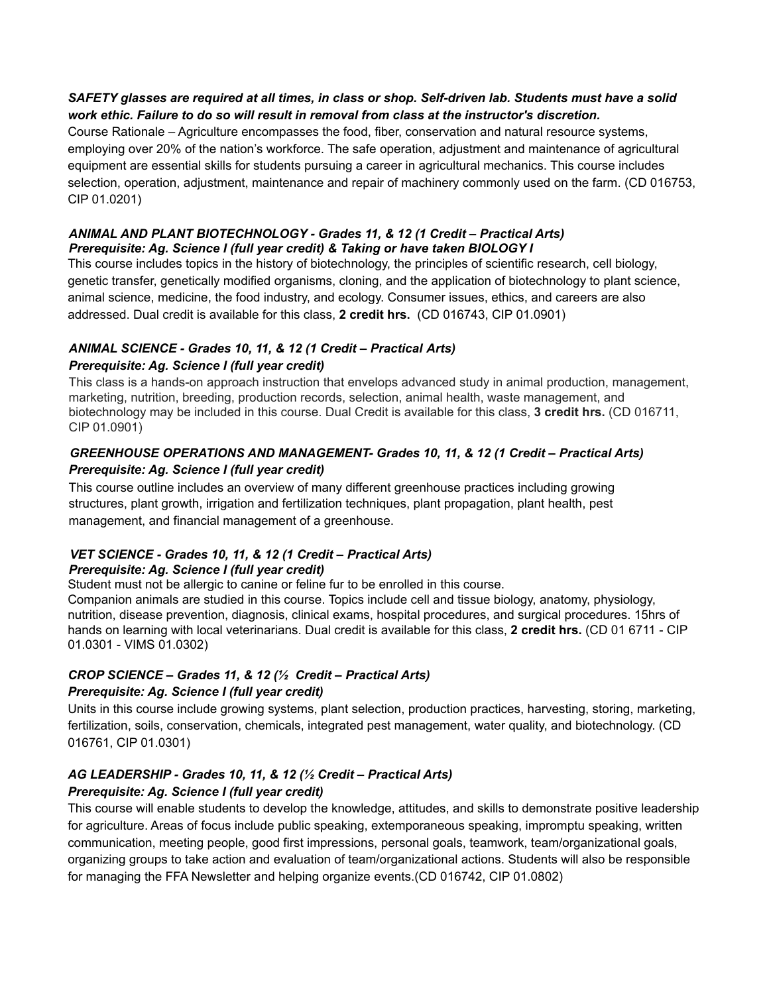#### SAFETY glasses are required at all times, in class or shop. Self-driven lab. Students must have a solid *work ethic. Failure to do so will result in removal from class at the instructor's discretion.*

Course Rationale – Agriculture encompasses the food, fiber, conservation and natural resource systems, employing over 20% of the nation's workforce. The safe operation, adjustment and maintenance of agricultural equipment are essential skills for students pursuing a career in agricultural mechanics. This course includes selection, operation, adjustment, maintenance and repair of machinery commonly used on the farm. (CD 016753, CIP 01.0201)

#### *ANIMAL AND PLANT BIOTECHNOLOGY - Grades 11, & 12 (1 Credit – Practical Arts) Prerequisite: Ag. Science I (full year credit) & Taking or have taken BIOLOGY I*

This course includes topics in the history of biotechnology, the principles of scientific research, cell biology, genetic transfer, genetically modified organisms, cloning, and the application of biotechnology to plant science, animal science, medicine, the food industry, and ecology. Consumer issues, ethics, and careers are also addressed. Dual credit is available for this class, **2 credit hrs.** (CD 016743, CIP 01.0901)

# *ANIMAL SCIENCE - Grades 10, 11, & 12 (1 Credit – Practical Arts)*

# *Prerequisite: Ag. Science I (full year credit)*

This class is a hands-on approach instruction that envelops advanced study in animal production, management, marketing, nutrition, breeding, production records, selection, animal health, waste management, and biotechnology may be included in this course. Dual Credit is available for this class, **3 credit hrs.** (CD 016711, CIP 01.0901)

## *GREENHOUSE OPERATIONS AND MANAGEMENT- Grades 10, 11, & 12 (1 Credit – Practical Arts) Prerequisite: Ag. Science I (full year credit)*

This course outline includes an overview of many different greenhouse practices including growing structures, plant growth, irrigation and fertilization techniques, plant propagation, plant health, pest management, and financial management of a greenhouse.

# *VET SCIENCE - Grades 10, 11, & 12 (1 Credit – Practical Arts)*

#### *Prerequisite: Ag. Science I (full year credit)*

Student must not be allergic to canine or feline fur to be enrolled in this course.

Companion animals are studied in this course. Topics include cell and tissue biology, anatomy, physiology, nutrition, disease prevention, diagnosis, clinical exams, hospital procedures, and surgical procedures. 15hrs of hands on learning with local veterinarians. Dual credit is available for this class, **2 credit hrs.** (CD 01 6711 - CIP 01.0301 - VIMS 01.0302)

# *CROP SCIENCE – Grades 11, & 12 (½ Credit – Practical Arts)*

#### *Prerequisite: Ag. Science I (full year credit)*

Units in this course include growing systems, plant selection, production practices, harvesting, storing, marketing, fertilization, soils, conservation, chemicals, integrated pest management, water quality, and biotechnology. (CD 016761, CIP 01.0301)

# *AG LEADERSHIP - Grades 10, 11, & 12 (½ Credit – Practical Arts)*

# *Prerequisite: Ag. Science I (full year credit)*

This course will enable students to develop the knowledge, attitudes, and skills to demonstrate positive leadership for agriculture. Areas of focus include public speaking, extemporaneous speaking, impromptu speaking, written communication, meeting people, good first impressions, personal goals, teamwork, team/organizational goals, organizing groups to take action and evaluation of team/organizational actions. Students will also be responsible for managing the FFA Newsletter and helping organize events.(CD 016742, CIP 01.0802)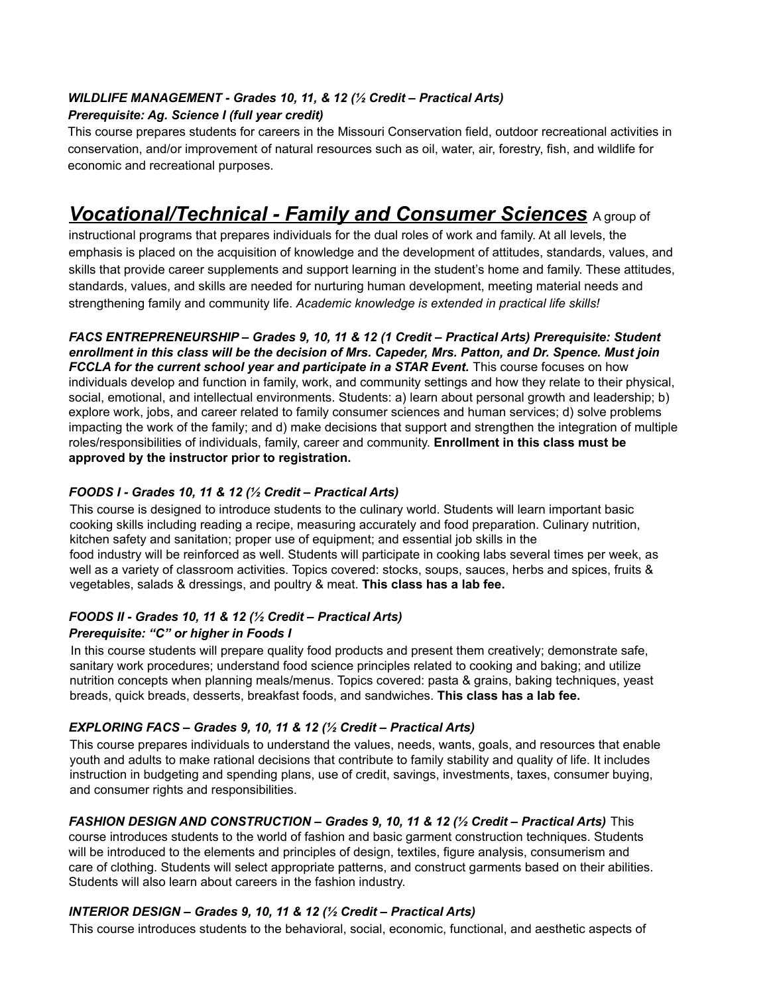# *WILDLIFE MANAGEMENT - Grades 10, 11, & 12 (½ Credit – Practical Arts)*

#### *Prerequisite: Ag. Science I (full year credit)*

This course prepares students for careers in the Missouri Conservation field, outdoor recreational activities in conservation, and/or improvement of natural resources such as oil, water, air, forestry, fish, and wildlife for economic and recreational purposes.

# *Vocational/Technical - Family and Consumer Sciences* <sup>A</sup> group of

instructional programs that prepares individuals for the dual roles of work and family. At all levels, the emphasis is placed on the acquisition of knowledge and the development of attitudes, standards, values, and skills that provide career supplements and support learning in the student's home and family. These attitudes, standards, values, and skills are needed for nurturing human development, meeting material needs and strengthening family and community life. *Academic knowledge is extended in practical life skills!*

*FACS ENTREPRENEURSHIP – Grades 9, 10, 11 & 12 (1 Credit – Practical Arts) Prerequisite: Student* enrollment in this class will be the decision of Mrs. Capeder, Mrs. Patton, and Dr. Spence. Must join *FCCLA for the current school year and participate in a STAR Event.* This course focuses on how individuals develop and function in family, work, and community settings and how they relate to their physical, social, emotional, and intellectual environments. Students: a) learn about personal growth and leadership; b) explore work, jobs, and career related to family consumer sciences and human services; d) solve problems impacting the work of the family; and d) make decisions that support and strengthen the integration of multiple roles/responsibilities of individuals, family, career and community. **Enrollment in this class must be approved by the instructor prior to registration.**

#### *FOODS I - Grades 10, 11 & 12 (½ Credit – Practical Arts)*

This course is designed to introduce students to the culinary world. Students will learn important basic cooking skills including reading a recipe, measuring accurately and food preparation. Culinary nutrition, kitchen safety and sanitation; proper use of equipment; and essential job skills in the food industry will be reinforced as well. Students will participate in cooking labs several times per week, as well as a variety of classroom activities. Topics covered: stocks, soups, sauces, herbs and spices, fruits & vegetables, salads & dressings, and poultry & meat. **This class has a lab fee.**

#### *FOODS II - Grades 10, 11 & 12 (½ Credit – Practical Arts)*

#### *Prerequisite: "C" or higher in Foods I*

In this course students will prepare quality food products and present them creatively; demonstrate safe, sanitary work procedures; understand food science principles related to cooking and baking; and utilize nutrition concepts when planning meals/menus. Topics covered: pasta & grains, baking techniques, yeast breads, quick breads, desserts, breakfast foods, and sandwiches. **This class has a lab fee.**

#### *EXPLORING FACS – Grades 9, 10, 11 & 12 (½ Credit – Practical Arts)*

This course prepares individuals to understand the values, needs, wants, goals, and resources that enable youth and adults to make rational decisions that contribute to family stability and quality of life. It includes instruction in budgeting and spending plans, use of credit, savings, investments, taxes, consumer buying, and consumer rights and responsibilities.

#### *FASHION DESIGN AND CONSTRUCTION – Grades 9, 10, 11 & 12 (½ Credit – Practical Arts)* This

course introduces students to the world of fashion and basic garment construction techniques. Students will be introduced to the elements and principles of design, textiles, figure analysis, consumerism and care of clothing. Students will select appropriate patterns, and construct garments based on their abilities. Students will also learn about careers in the fashion industry.

#### *INTERIOR DESIGN – Grades 9, 10, 11 & 12 (½ Credit – Practical Arts)*

This course introduces students to the behavioral, social, economic, functional, and aesthetic aspects of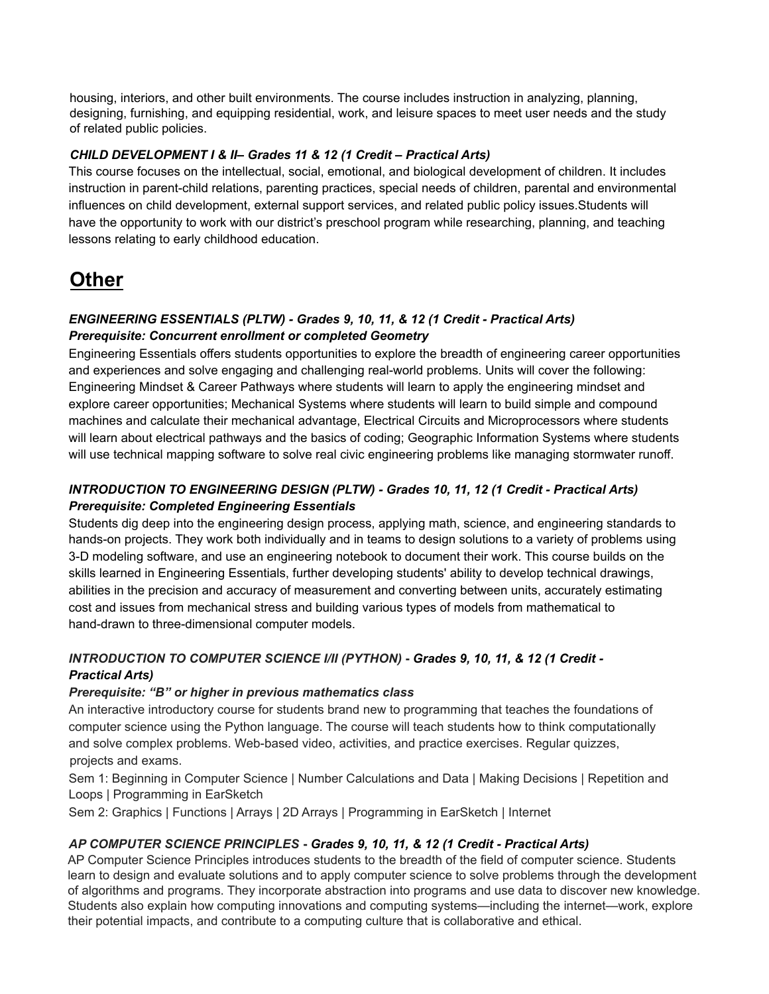housing, interiors, and other built environments. The course includes instruction in analyzing, planning, designing, furnishing, and equipping residential, work, and leisure spaces to meet user needs and the study of related public policies.

#### *CHILD DEVELOPMENT I & II– Grades 11 & 12 (1 Credit – Practical Arts)*

This course focuses on the intellectual, social, emotional, and biological development of children. It includes instruction in parent-child relations, parenting practices, special needs of children, parental and environmental influences on child development, external support services, and related public policy issues.Students will have the opportunity to work with our district's preschool program while researching, planning, and teaching lessons relating to early childhood education.

# **Other**

#### *ENGINEERING ESSENTIALS (PLTW) - Grades 9, 10, 11, & 12 (1 Credit - Practical Arts) Prerequisite: Concurrent enrollment or completed Geometry*

Engineering Essentials offers students opportunities to explore the breadth of engineering career opportunities and experiences and solve engaging and challenging real-world problems. Units will cover the following: Engineering Mindset & Career Pathways where students will learn to apply the engineering mindset and explore career opportunities; Mechanical Systems where students will learn to build simple and compound machines and calculate their mechanical advantage, Electrical Circuits and Microprocessors where students will learn about electrical pathways and the basics of coding; Geographic Information Systems where students will use technical mapping software to solve real civic engineering problems like managing stormwater runoff.

## *INTRODUCTION TO ENGINEERING DESIGN (PLTW) - Grades 10, 11, 12 (1 Credit - Practical Arts) Prerequisite: Completed Engineering Essentials*

Students dig deep into the engineering design process, applying math, science, and engineering standards to hands-on projects. They work both individually and in teams to design solutions to a variety of problems using 3-D modeling software, and use an engineering notebook to document their work. This course builds on the skills learned in Engineering Essentials, further developing students' ability to develop technical drawings, abilities in the precision and accuracy of measurement and converting between units, accurately estimating cost and issues from mechanical stress and building various types of models from mathematical to hand-drawn to three-dimensional computer models.

# *INTRODUCTION TO COMPUTER SCIENCE I/II (PYTHON)* **-** *Grades 9, 10, 11, & 12 (1 Credit - Practical Arts)*

#### *Prerequisite: "B" or higher in previous mathematics class*

An interactive introductory course for students brand new to programming that teaches the foundations of computer science using the Python language. The course will teach students how to think computationally and solve complex problems. Web-based video, activities, and practice exercises. Regular quizzes, projects and exams.

Sem 1: Beginning in Computer Science | Number Calculations and Data | Making Decisions | Repetition and Loops | Programming in EarSketch

Sem 2: Graphics | Functions | Arrays | 2D Arrays | Programming in EarSketch | Internet

#### *AP COMPUTER SCIENCE PRINCIPLES* **-** *Grades 9, 10, 11, & 12 (1 Credit - Practical Arts)*

AP Computer Science Principles introduces students to the breadth of the field of computer science. Students learn to design and evaluate solutions and to apply computer science to solve problems through the development of algorithms and programs. They incorporate abstraction into programs and use data to discover new knowledge. Students also explain how computing innovations and computing systems—including the internet—work, explore their potential impacts, and contribute to a computing culture that is collaborative and ethical.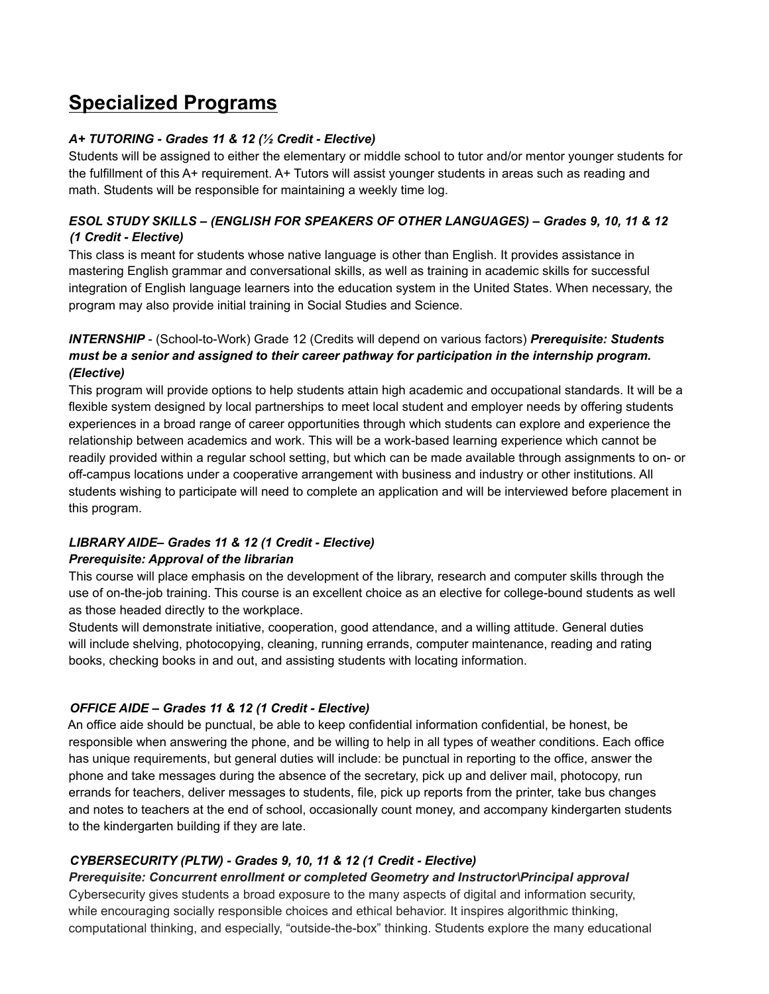# **Specialized Programs**

#### *A+ TUTORING - Grades 11 & 12 (½ Credit - Elective)*

Students will be assigned to either the elementary or middle school to tutor and/or mentor younger students for the fulfillment of this A+ requirement. A+ Tutors will assist younger students in areas such as reading and math. Students will be responsible for maintaining a weekly time log.

#### *ESOL STUDY SKILLS – (ENGLISH FOR SPEAKERS OF OTHER LANGUAGES) – Grades 9, 10, 11 & 12 (1 Credit - Elective)*

This class is meant for students whose native language is other than English. It provides assistance in mastering English grammar and conversational skills, as well as training in academic skills for successful integration of English language learners into the education system in the United States. When necessary, the program may also provide initial training in Social Studies and Science.

## *INTERNSHIP* - (School-to-Work) Grade 12 (Credits will depend on various factors) *Prerequisite: Students must be a senior and assigned to their career pathway for participation in the internship program. (Elective)*

This program will provide options to help students attain high academic and occupational standards. It will be a flexible system designed by local partnerships to meet local student and employer needs by offering students experiences in a broad range of career opportunities through which students can explore and experience the relationship between academics and work. This will be a work-based learning experience which cannot be readily provided within a regular school setting, but which can be made available through assignments to on- or off-campus locations under a cooperative arrangement with business and industry or other institutions. All students wishing to participate will need to complete an application and will be interviewed before placement in this program.

#### *LIBRARY AIDE– Grades 11 & 12 (1 Credit - Elective) Prerequisite: Approval of the librarian*

This course will place emphasis on the development of the library, research and computer skills through the use of on-the-job training. This course is an excellent choice as an elective for college-bound students as well as those headed directly to the workplace.

Students will demonstrate initiative, cooperation, good attendance, and a willing attitude. General duties will include shelving, photocopying, cleaning, running errands, computer maintenance, reading and rating books, checking books in and out, and assisting students with locating information.

#### *OFFICE AIDE – Grades 11 & 12 (1 Credit - Elective)*

An office aide should be punctual, be able to keep confidential information confidential, be honest, be responsible when answering the phone, and be willing to help in all types of weather conditions. Each office has unique requirements, but general duties will include: be punctual in reporting to the office, answer the phone and take messages during the absence of the secretary, pick up and deliver mail, photocopy, run errands for teachers, deliver messages to students, file, pick up reports from the printer, take bus changes and notes to teachers at the end of school, occasionally count money, and accompany kindergarten students to the kindergarten building if they are late.

#### *CYBERSECURITY (PLTW) - Grades 9, 10, 11 & 12 (1 Credit - Elective)*

*Prerequisite: Concurrent enrollment or completed Geometry and Instructor\Principal approval* Cybersecurity gives students a broad exposure to the many aspects of digital and information security, while encouraging socially responsible choices and ethical behavior. It inspires algorithmic thinking, computational thinking, and especially, "outside-the-box" thinking. Students explore the many educational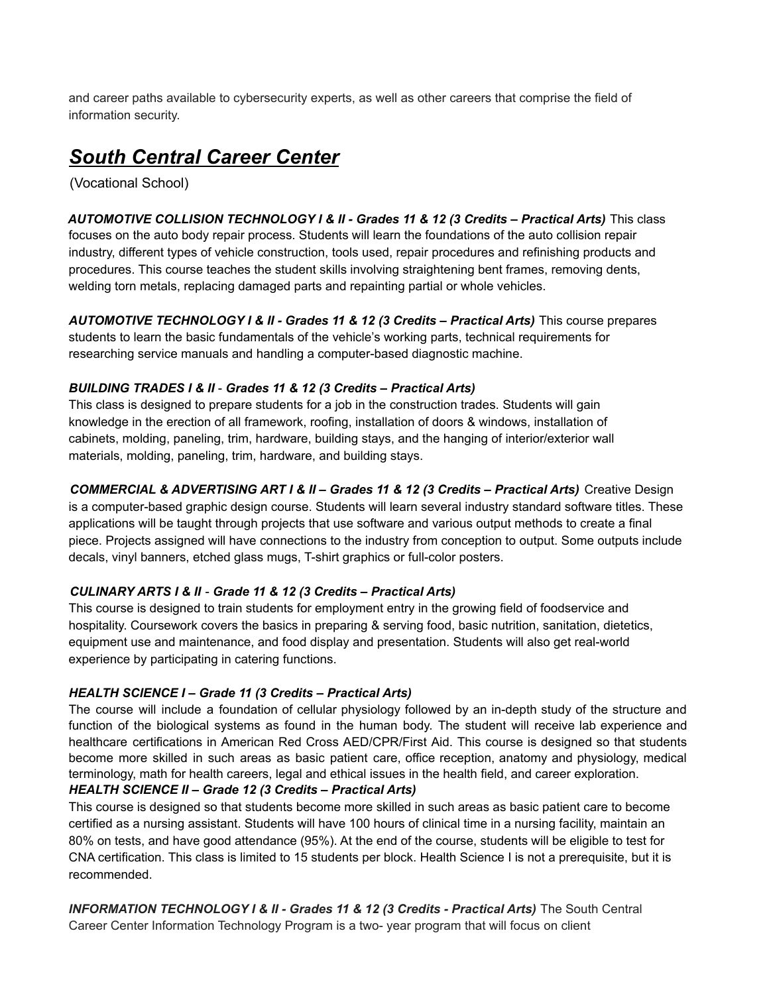and career paths available to cybersecurity experts, as well as other careers that comprise the field of information security.

# *South Central Career Center*

(Vocational School)

*AUTOMOTIVE COLLISION TECHNOLOGY I & II - Grades 11 & 12 (3 Credits – Practical Arts)* This class focuses on the auto body repair process. Students will learn the foundations of the auto collision repair industry, different types of vehicle construction, tools used, repair procedures and refinishing products and procedures. This course teaches the student skills involving straightening bent frames, removing dents, welding torn metals, replacing damaged parts and repainting partial or whole vehicles.

*AUTOMOTIVE TECHNOLOGY I & II - Grades 11 & 12 (3 Credits – Practical Arts)* This course prepares students to learn the basic fundamentals of the vehicle's working parts, technical requirements for researching service manuals and handling a computer-based diagnostic machine.

#### *BUILDING TRADES I & II* - *Grades 11 & 12 (3 Credits – Practical Arts)*

This class is designed to prepare students for a job in the construction trades. Students will gain knowledge in the erection of all framework, roofing, installation of doors & windows, installation of cabinets, molding, paneling, trim, hardware, building stays, and the hanging of interior/exterior wall materials, molding, paneling, trim, hardware, and building stays.

# *COMMERCIAL & ADVERTISING ART I & II – Grades 11 & 12 (3 Credits – Practical Arts)* Creative Design

is a computer-based graphic design course. Students will learn several industry standard software titles. These applications will be taught through projects that use software and various output methods to create a final piece. Projects assigned will have connections to the industry from conception to output. Some outputs include decals, vinyl banners, etched glass mugs, T-shirt graphics or full-color posters.

#### *CULINARY ARTS I & II* - *Grade 11 & 12 (3 Credits – Practical Arts)*

This course is designed to train students for employment entry in the growing field of foodservice and hospitality. Coursework covers the basics in preparing & serving food, basic nutrition, sanitation, dietetics, equipment use and maintenance, and food display and presentation. Students will also get real-world experience by participating in catering functions.

#### *HEALTH SCIENCE I – Grade 11 (3 Credits – Practical Arts)*

The course will include a foundation of cellular physiology followed by an in-depth study of the structure and function of the biological systems as found in the human body. The student will receive lab experience and healthcare certifications in American Red Cross AED/CPR/First Aid. This course is designed so that students become more skilled in such areas as basic patient care, office reception, anatomy and physiology, medical terminology, math for health careers, legal and ethical issues in the health field, and career exploration.

#### *HEALTH SCIENCE II – Grade 12 (3 Credits – Practical Arts)*

This course is designed so that students become more skilled in such areas as basic patient care to become certified as a nursing assistant. Students will have 100 hours of clinical time in a nursing facility, maintain an 80% on tests, and have good attendance (95%). At the end of the course, students will be eligible to test for CNA certification. This class is limited to 15 students per block. Health Science I is not a prerequisite, but it is recommended.

*INFORMATION TECHNOLOGY I & II - Grades 11 & 12 (3 Credits - Practical Arts)* The South Central Career Center Information Technology Program is a two- year program that will focus on client